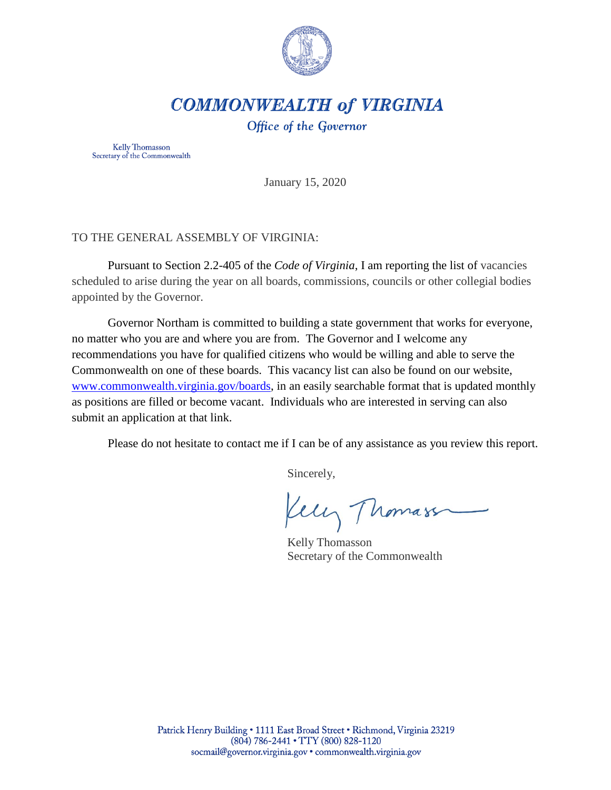

# **COMMONWEALTH of VIRGINIA**

Office of the Governor

Kelly Thomasson Secretary of the Commonwealth

January 15, 2020

## TO THE GENERAL ASSEMBLY OF VIRGINIA:

Pursuant to Section 2.2-405 of the *Code of Virginia*, I am reporting the list of vacancies scheduled to arise during the year on all boards, commissions, councils or other collegial bodies appointed by the Governor.

Governor Northam is committed to building a state government that works for everyone, no matter who you are and where you are from. The Governor and I welcome any recommendations you have for qualified citizens who would be willing and able to serve the Commonwealth on one of these boards. This vacancy list can also be found on our website, [www.commonwealth.virginia.gov/boards,](http://www.commonwealth.virginia.gov/boards) in an easily searchable format that is updated monthly as positions are filled or become vacant. Individuals who are interested in serving can also submit an application at that link.

Please do not hesitate to contact me if I can be of any assistance as you review this report.

Sincerely,

Kelly Thomass

Kelly Thomasson Secretary of the Commonwealth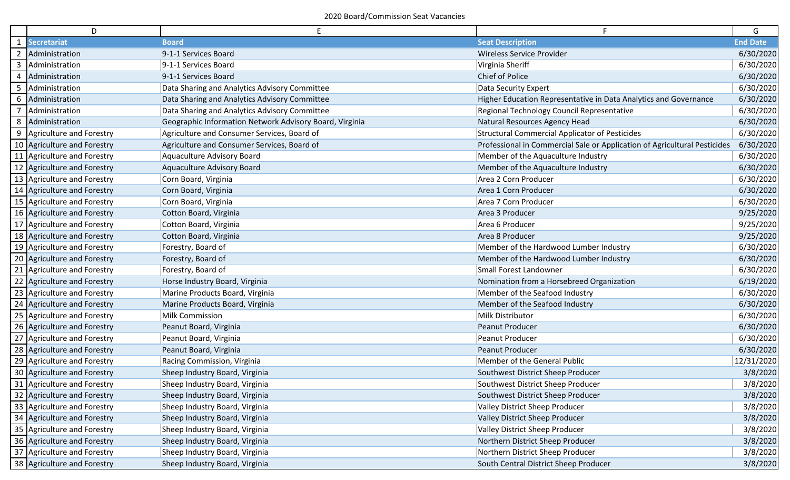|              | D                                    | Ε                                                       | F                                                                         | G               |
|--------------|--------------------------------------|---------------------------------------------------------|---------------------------------------------------------------------------|-----------------|
|              | <b>Secretariat</b>                   | <b>Board</b>                                            | <b>Seat Description</b>                                                   | <b>End Date</b> |
|              | Administration                       | 9-1-1 Services Board                                    | Wireless Service Provider                                                 | 6/30/2020       |
| $\mathbf{3}$ | Administration                       | 9-1-1 Services Board                                    | Virginia Sheriff                                                          | 6/30/2020       |
|              | Administration                       | 9-1-1 Services Board                                    | Chief of Police                                                           | 6/30/2020       |
| 5            | Administration                       | Data Sharing and Analytics Advisory Committee           | Data Security Expert                                                      | 6/30/2020       |
|              | 6 Administration                     | Data Sharing and Analytics Advisory Committee           | Higher Education Representative in Data Analytics and Governance          | 6/30/2020       |
|              | Administration                       | Data Sharing and Analytics Advisory Committee           | Regional Technology Council Representative                                | 6/30/2020       |
|              | 8 Administration                     | Geographic Information Network Advisory Board, Virginia | Natural Resources Agency Head                                             | 6/30/2020       |
| 9            | Agriculture and Forestry             | Agriculture and Consumer Services, Board of             | <b>Structural Commercial Applicator of Pesticides</b>                     | 6/30/2020       |
|              | 10 Agriculture and Forestry          | Agriculture and Consumer Services, Board of             | Professional in Commercial Sale or Application of Agricultural Pesticides | 6/30/2020       |
|              | 11   Agriculture and Forestry        | Aquaculture Advisory Board                              | Member of the Aquaculture Industry                                        | 6/30/2020       |
|              | 12 Agriculture and Forestry          | Aquaculture Advisory Board                              | Member of the Aquaculture Industry                                        | 6/30/2020       |
|              | 13 Agriculture and Forestry          | Corn Board, Virginia                                    | Area 2 Corn Producer                                                      | 6/30/2020       |
|              | 14 Agriculture and Forestry          | Corn Board, Virginia                                    | Area 1 Corn Producer                                                      | 6/30/2020       |
|              | 15 Agriculture and Forestry          | Corn Board, Virginia                                    | Area 7 Corn Producer                                                      | 6/30/2020       |
|              | 16 Agriculture and Forestry          | Cotton Board, Virginia                                  | Area 3 Producer                                                           | 9/25/2020       |
|              | 17 Agriculture and Forestry          | Cotton Board, Virginia                                  | Area 6 Producer                                                           | 9/25/2020       |
|              | 18 Agriculture and Forestry          | Cotton Board, Virginia                                  | Area 8 Producer                                                           | 9/25/2020       |
|              | 19 Agriculture and Forestry          | Forestry, Board of                                      | Member of the Hardwood Lumber Industry                                    | 6/30/2020       |
|              | 20 Agriculture and Forestry          | Forestry, Board of                                      | Member of the Hardwood Lumber Industry                                    | 6/30/2020       |
| 21           | Agriculture and Forestry             | Forestry, Board of                                      | Small Forest Landowner                                                    | 6/30/2020       |
|              | 22 Agriculture and Forestry          | Horse Industry Board, Virginia                          | Nomination from a Horsebreed Organization                                 | 6/19/2020       |
|              | 23 Agriculture and Forestry          | Marine Products Board, Virginia                         | Member of the Seafood Industry                                            | 6/30/2020       |
|              | 24 Agriculture and Forestry          | Marine Products Board, Virginia                         | Member of the Seafood Industry                                            | 6/30/2020       |
|              | 25 Agriculture and Forestry          | <b>Milk Commission</b>                                  | Milk Distributor                                                          | 6/30/2020       |
|              | 26 Agriculture and Forestry          | Peanut Board, Virginia                                  | Peanut Producer                                                           | 6/30/2020       |
|              | 27 Agriculture and Forestry          | Peanut Board, Virginia                                  | Peanut Producer                                                           | 6/30/2020       |
|              | 28 Agriculture and Forestry          | Peanut Board, Virginia                                  | Peanut Producer                                                           | 6/30/2020       |
|              | 29 Agriculture and Forestry          | Racing Commission, Virginia                             | Member of the General Public                                              | 12/31/2020      |
|              | 30 Agriculture and Forestry          | Sheep Industry Board, Virginia                          | Southwest District Sheep Producer                                         | 3/8/2020        |
|              | $\sqrt{31}$ Agriculture and Forestry | Sheep Industry Board, Virginia                          | Southwest District Sheep Producer                                         | 3/8/2020        |
|              | 32 Agriculture and Forestry          | Sheep Industry Board, Virginia                          | Southwest District Sheep Producer                                         | 3/8/2020        |
|              | 33 Agriculture and Forestry          | Sheep Industry Board, Virginia                          | Valley District Sheep Producer                                            | 3/8/2020        |
|              | 34 Agriculture and Forestry          | Sheep Industry Board, Virginia                          | Valley District Sheep Producer                                            | 3/8/2020        |
|              | 35 Agriculture and Forestry          | Sheep Industry Board, Virginia                          | Valley District Sheep Producer                                            | 3/8/2020        |
|              | 36 Agriculture and Forestry          | Sheep Industry Board, Virginia                          | Northern District Sheep Producer                                          | 3/8/2020        |
|              | 37 Agriculture and Forestry          | Sheep Industry Board, Virginia                          | Northern District Sheep Producer                                          | 3/8/2020        |
|              | 38 Agriculture and Forestry          | Sheep Industry Board, Virginia                          | South Central District Sheep Producer                                     | 3/8/2020        |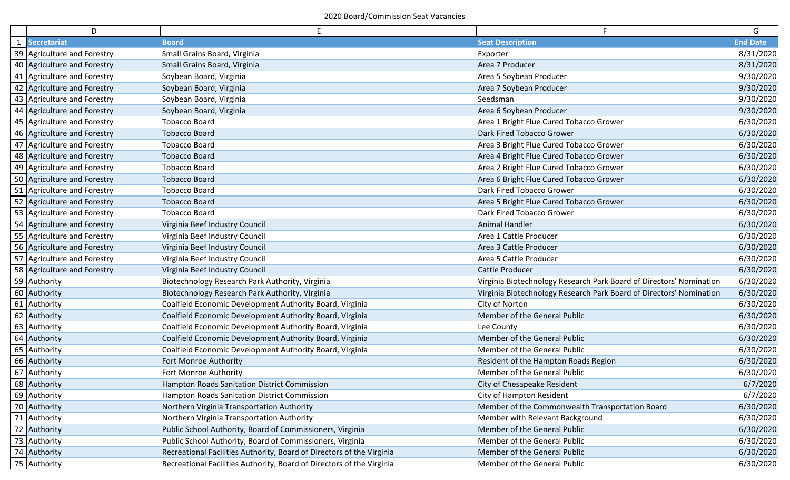| D                           | E                                                                     |                                                                     | G               |
|-----------------------------|-----------------------------------------------------------------------|---------------------------------------------------------------------|-----------------|
| 1 Secretariat               | <b>Board</b>                                                          | <b>Seat Description</b>                                             | <b>End Date</b> |
| 39 Agriculture and Forestry | Small Grains Board, Virginia                                          | Exporter                                                            | 8/31/2020       |
| 40 Agriculture and Forestry | Small Grains Board, Virginia                                          | Area 7 Producer                                                     | 8/31/2020       |
| 41 Agriculture and Forestry | Soybean Board, Virginia                                               | Area 5 Soybean Producer                                             | 9/30/2020       |
| 42 Agriculture and Forestry | Soybean Board, Virginia                                               | Area 7 Soybean Producer                                             | 9/30/2020       |
| 43 Agriculture and Forestry | Soybean Board, Virginia                                               | Seedsman                                                            | 9/30/2020       |
| 44 Agriculture and Forestry | Soybean Board, Virginia                                               | Area 6 Soybean Producer                                             | 9/30/2020       |
| 45 Agriculture and Forestry | <b>Tobacco Board</b>                                                  | Area 1 Bright Flue Cured Tobacco Grower                             | 6/30/2020       |
| 46 Agriculture and Forestry | <b>Tobacco Board</b>                                                  | Dark Fired Tobacco Grower                                           | 6/30/2020       |
| 47 Agriculture and Forestry | <b>Tobacco Board</b>                                                  | Area 3 Bright Flue Cured Tobacco Grower                             | 6/30/2020       |
| 48 Agriculture and Forestry | <b>Tobacco Board</b>                                                  | Area 4 Bright Flue Cured Tobacco Grower                             | 6/30/2020       |
| 49 Agriculture and Forestry | <b>Tobacco Board</b>                                                  | Area 2 Bright Flue Cured Tobacco Grower                             | 6/30/2020       |
| 50 Agriculture and Forestry | <b>Tobacco Board</b>                                                  | Area 6 Bright Flue Cured Tobacco Grower                             | 6/30/2020       |
| 51 Agriculture and Forestry | <b>Tobacco Board</b>                                                  | Dark Fired Tobacco Grower                                           | 6/30/2020       |
| 52 Agriculture and Forestry | <b>Tobacco Board</b>                                                  | Area 5 Bright Flue Cured Tobacco Grower                             | 6/30/2020       |
| 53 Agriculture and Forestry | <b>Tobacco Board</b>                                                  | Dark Fired Tobacco Grower                                           | 6/30/2020       |
| 54 Agriculture and Forestry | Virginia Beef Industry Council                                        | Animal Handler                                                      | 6/30/2020       |
| 55 Agriculture and Forestry | Virginia Beef Industry Council                                        | Area 1 Cattle Producer                                              | 6/30/2020       |
| 56 Agriculture and Forestry | Virginia Beef Industry Council                                        | Area 3 Cattle Producer                                              | 6/30/2020       |
| 57 Agriculture and Forestry | Virginia Beef Industry Council                                        | Area 5 Cattle Producer                                              | 6/30/2020       |
| 58 Agriculture and Forestry | Virginia Beef Industry Council                                        | Cattle Producer                                                     | 6/30/2020       |
| 59 Authority                | Biotechnology Research Park Authority, Virginia                       | Virginia Biotechnology Research Park Board of Directors' Nomination | 6/30/2020       |
| 60 Authority                | Biotechnology Research Park Authority, Virginia                       | Virginia Biotechnology Research Park Board of Directors' Nomination | 6/30/2020       |
| 61 Authority                | Coalfield Economic Development Authority Board, Virginia              | City of Norton                                                      | 6/30/2020       |
| 62 Authority                | Coalfield Economic Development Authority Board, Virginia              | Member of the General Public                                        | 6/30/2020       |
| 63 Authority                | Coalfield Economic Development Authority Board, Virginia              | Lee County                                                          | 6/30/2020       |
| 64 Authority                | Coalfield Economic Development Authority Board, Virginia              | Member of the General Public                                        | 6/30/2020       |
| 65 Authority                | Coalfield Economic Development Authority Board, Virginia              | Member of the General Public                                        | 6/30/2020       |
| 66 Authority                | Fort Monroe Authority                                                 | Resident of the Hampton Roads Region                                | 6/30/2020       |
| 67 Authority                | Fort Monroe Authority                                                 | Member of the General Public                                        | 6/30/2020       |
| 68 Authority                | <b>Hampton Roads Sanitation District Commission</b>                   | City of Chesapeake Resident                                         | 6/7/2020        |
| 69 Authority                | Hampton Roads Sanitation District Commission                          | City of Hampton Resident                                            | 6/7/2020        |
| 70 Authority                | Northern Virginia Transportation Authority                            | Member of the Commonwealth Transportation Board                     | 6/30/2020       |
| 71 Authority                | Northern Virginia Transportation Authority                            | Member with Relevant Background                                     | 6/30/2020       |
| 72 Authority                | Public School Authority, Board of Commissioners, Virginia             | Member of the General Public                                        | 6/30/2020       |
| 73 Authority                | Public School Authority, Board of Commissioners, Virginia             | Member of the General Public                                        | 6/30/2020       |
| 74 Authority                | Recreational Facilities Authority, Board of Directors of the Virginia | Member of the General Public                                        | 6/30/2020       |
| 75 Authority                | Recreational Facilities Authority, Board of Directors of the Virginia | Member of the General Public                                        | 6/30/2020       |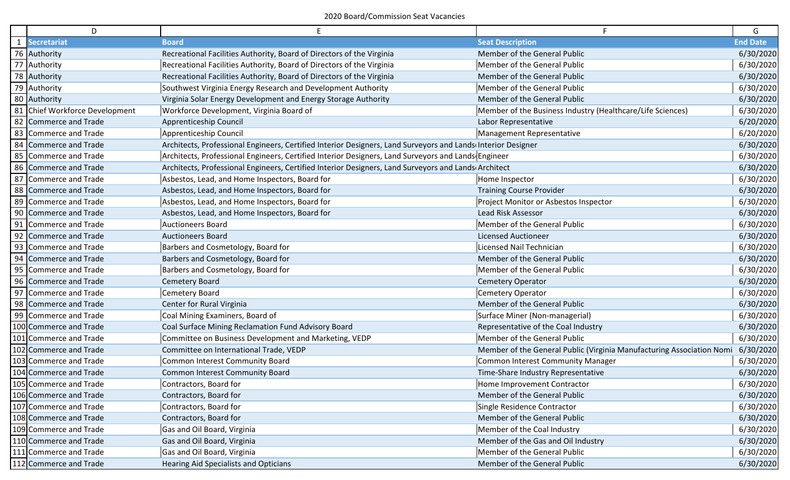| D                              | E                                                                                                            |                                                                       | G               |
|--------------------------------|--------------------------------------------------------------------------------------------------------------|-----------------------------------------------------------------------|-----------------|
| 1 Secretariat                  | <b>Board</b>                                                                                                 | <b>Seat Description</b>                                               | <b>End Date</b> |
| 76 Authority                   | Recreational Facilities Authority, Board of Directors of the Virginia                                        | Member of the General Public                                          | 6/30/2020       |
| 77 Authority                   | Recreational Facilities Authority, Board of Directors of the Virginia                                        | Member of the General Public                                          | 6/30/2020       |
| 78 Authority                   | Recreational Facilities Authority, Board of Directors of the Virginia                                        | Member of the General Public                                          | 6/30/2020       |
| 79 Authority                   | Southwest Virginia Energy Research and Development Authority                                                 | Member of the General Public                                          | 6/30/2020       |
| 80 Authority                   | Virginia Solar Energy Development and Energy Storage Authority                                               | Member of the General Public                                          | 6/30/2020       |
| 81 Chief Workforce Development | Workforce Development, Virginia Board of                                                                     | Member of the Business Industry (Healthcare/Life Sciences)            | 6/30/2020       |
| 82 Commerce and Trade          | Apprenticeship Council                                                                                       | Labor Representative                                                  | 6/20/2020       |
| 83 Commerce and Trade          | Apprenticeship Council                                                                                       | Management Representative                                             | 6/20/2020       |
| 84 Commerce and Trade          | Architects, Professional Engineers, Certified Interior Designers, Land Surveyors and Lands Interior Designer |                                                                       | 6/30/2020       |
| 85 Commerce and Trade          | Architects, Professional Engineers, Certified Interior Designers, Land Surveyors and Lands Engineer          |                                                                       | 6/30/2020       |
| 86 Commerce and Trade          | Architects, Professional Engineers, Certified Interior Designers, Land Surveyors and Lands Architect         |                                                                       | 6/30/2020       |
| 87 Commerce and Trade          | Asbestos, Lead, and Home Inspectors, Board for                                                               | Home Inspector                                                        | 6/30/2020       |
| 88 Commerce and Trade          | Asbestos, Lead, and Home Inspectors, Board for                                                               | <b>Training Course Provider</b>                                       | 6/30/2020       |
| 89 Commerce and Trade          | Asbestos, Lead, and Home Inspectors, Board for                                                               | Project Monitor or Asbestos Inspector                                 | 6/30/2020       |
| 90 Commerce and Trade          | Asbestos, Lead, and Home Inspectors, Board for                                                               | Lead Risk Assessor                                                    | 6/30/2020       |
| 91 Commerce and Trade          | <b>Auctioneers Board</b>                                                                                     | Member of the General Public                                          | 6/30/2020       |
| 92 Commerce and Trade          | <b>Auctioneers Board</b>                                                                                     | <b>Licensed Auctioneer</b>                                            | 6/30/2020       |
| 93 Commerce and Trade          | Barbers and Cosmetology, Board for                                                                           | Licensed Nail Technician                                              | 6/30/2020       |
| 94 Commerce and Trade          | Barbers and Cosmetology, Board for                                                                           | Member of the General Public                                          | 6/30/2020       |
| 95 Commerce and Trade          | Barbers and Cosmetology, Board for                                                                           | Member of the General Public                                          | 6/30/2020       |
| 96 Commerce and Trade          | <b>Cemetery Board</b>                                                                                        | <b>Cemetery Operator</b>                                              | 6/30/2020       |
| 97 Commerce and Trade          | Cemetery Board                                                                                               | Cemetery Operator                                                     | 6/30/2020       |
| 98 Commerce and Trade          | Center for Rural Virginia                                                                                    | Member of the General Public                                          | 6/30/2020       |
| 99 Commerce and Trade          | Coal Mining Examiners, Board of                                                                              | Surface Miner (Non-managerial)                                        | 6/30/2020       |
| 100 Commerce and Trade         | Coal Surface Mining Reclamation Fund Advisory Board                                                          | Representative of the Coal Industry                                   | 6/30/2020       |
| 101 Commerce and Trade         | Committee on Business Development and Marketing, VEDP                                                        | Member of the General Public                                          | 6/30/2020       |
| 102 Commerce and Trade         | Committee on International Trade, VEDP                                                                       | Member of the General Public (Virginia Manufacturing Association Nomi | 6/30/2020       |
| 103 Commerce and Trade         | Common Interest Community Board                                                                              | Common Interest Community Manager                                     | 6/30/2020       |
| 104 Commerce and Trade         | Common Interest Community Board                                                                              | Time-Share Industry Representative                                    | 6/30/2020       |
| 105 Commerce and Trade         | Contractors, Board for                                                                                       | Home Improvement Contractor                                           | 6/30/2020       |
| 106 Commerce and Trade         | Contractors, Board for                                                                                       | Member of the General Public                                          | 6/30/2020       |
| 107 Commerce and Trade         | Contractors, Board for                                                                                       | Single Residence Contractor                                           | 6/30/2020       |
| 108 Commerce and Trade         | Contractors, Board for                                                                                       | Member of the General Public                                          | 6/30/2020       |
| 109 Commerce and Trade         | Gas and Oil Board, Virginia                                                                                  | Member of the Coal Industry                                           | 6/30/2020       |
| 110 Commerce and Trade         | Gas and Oil Board, Virginia                                                                                  | Member of the Gas and Oil Industry                                    | 6/30/2020       |
| 111 Commerce and Trade         | Gas and Oil Board, Virginia                                                                                  | Member of the General Public                                          | 6/30/2020       |
| 112 Commerce and Trade         | Hearing Aid Specialists and Opticians                                                                        | Member of the General Public                                          | 6/30/2020       |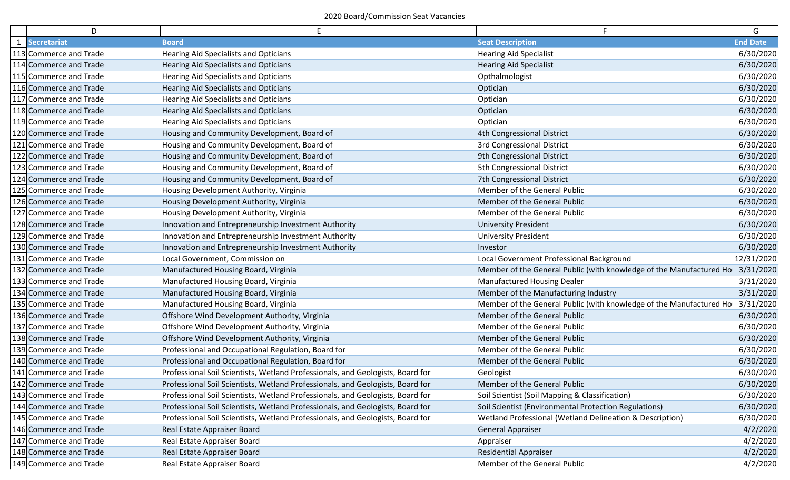|              | D                      |                                                                                |                                                                     | G               |
|--------------|------------------------|--------------------------------------------------------------------------------|---------------------------------------------------------------------|-----------------|
| $\mathbf{1}$ | <b>Secretariat</b>     | <b>Board</b>                                                                   | <b>Seat Description</b>                                             | <b>End Date</b> |
|              | 113 Commerce and Trade | Hearing Aid Specialists and Opticians                                          | <b>Hearing Aid Specialist</b>                                       | 6/30/2020       |
|              | 114 Commerce and Trade | <b>Hearing Aid Specialists and Opticians</b>                                   | <b>Hearing Aid Specialist</b>                                       | 6/30/2020       |
|              | 115 Commerce and Trade | Hearing Aid Specialists and Opticians                                          | Opthalmologist                                                      | 6/30/2020       |
|              | 116 Commerce and Trade | Hearing Aid Specialists and Opticians                                          | Optician                                                            | 6/30/2020       |
|              | 117 Commerce and Trade | Hearing Aid Specialists and Opticians                                          | Optician                                                            | 6/30/2020       |
|              | 118 Commerce and Trade | Hearing Aid Specialists and Opticians                                          | Optician                                                            | 6/30/2020       |
|              | 119 Commerce and Trade | Hearing Aid Specialists and Opticians                                          | Optician                                                            | 6/30/2020       |
|              | 120 Commerce and Trade | Housing and Community Development, Board of                                    | 4th Congressional District                                          | 6/30/2020       |
|              | 121 Commerce and Trade | Housing and Community Development, Board of                                    | 3rd Congressional District                                          | 6/30/2020       |
|              | 122 Commerce and Trade | Housing and Community Development, Board of                                    | 9th Congressional District                                          | 6/30/2020       |
|              | 123 Commerce and Trade | Housing and Community Development, Board of                                    | 5th Congressional District                                          | 6/30/2020       |
|              | 124 Commerce and Trade | Housing and Community Development, Board of                                    | 7th Congressional District                                          | 6/30/2020       |
|              | 125 Commerce and Trade | Housing Development Authority, Virginia                                        | Member of the General Public                                        | 6/30/2020       |
|              | 126 Commerce and Trade | Housing Development Authority, Virginia                                        | Member of the General Public                                        | 6/30/2020       |
|              | 127 Commerce and Trade | Housing Development Authority, Virginia                                        | Member of the General Public                                        | 6/30/2020       |
|              | 128 Commerce and Trade | Innovation and Entrepreneurship Investment Authority                           | <b>University President</b>                                         | 6/30/2020       |
|              | 129 Commerce and Trade | Innovation and Entrepreneurship Investment Authority                           | <b>University President</b>                                         | 6/30/2020       |
|              | 130 Commerce and Trade | Innovation and Entrepreneurship Investment Authority                           | Investor                                                            | 6/30/2020       |
|              | 131 Commerce and Trade | Local Government, Commission on                                                | Local Government Professional Background                            | 12/31/2020      |
|              | 132 Commerce and Trade | Manufactured Housing Board, Virginia                                           | Member of the General Public (with knowledge of the Manufactured Ho | 3/31/2020       |
|              | 133 Commerce and Trade | Manufactured Housing Board, Virginia                                           | <b>Manufactured Housing Dealer</b>                                  | 3/31/2020       |
|              | 134 Commerce and Trade | Manufactured Housing Board, Virginia                                           | Member of the Manufacturing Industry                                | 3/31/2020       |
|              | 135 Commerce and Trade | Manufactured Housing Board, Virginia                                           | Member of the General Public (with knowledge of the Manufactured Ho | 3/31/2020       |
|              | 136 Commerce and Trade | Offshore Wind Development Authority, Virginia                                  | Member of the General Public                                        | 6/30/2020       |
|              | 137 Commerce and Trade | Offshore Wind Development Authority, Virginia                                  | Member of the General Public                                        | 6/30/2020       |
|              | 138 Commerce and Trade | Offshore Wind Development Authority, Virginia                                  | Member of the General Public                                        | 6/30/2020       |
|              | 139 Commerce and Trade | Professional and Occupational Regulation, Board for                            | Member of the General Public                                        | 6/30/2020       |
|              | 140 Commerce and Trade | Professional and Occupational Regulation, Board for                            | Member of the General Public                                        | 6/30/2020       |
|              | 141 Commerce and Trade | Professional Soil Scientists, Wetland Professionals, and Geologists, Board for | Geologist                                                           | 6/30/2020       |
| 142          | Commerce and Trade     | Professional Soil Scientists, Wetland Professionals, and Geologists, Board for | Member of the General Public                                        | 6/30/2020       |
|              | 143 Commerce and Trade | Professional Soil Scientists, Wetland Professionals, and Geologists, Board for | Soil Scientist (Soil Mapping & Classification)                      | 6/30/2020       |
|              | 144 Commerce and Trade | Professional Soil Scientists, Wetland Professionals, and Geologists, Board for | Soil Scientist (Environmental Protection Regulations)               | 6/30/2020       |
|              | 145 Commerce and Trade | Professional Soil Scientists, Wetland Professionals, and Geologists, Board for | Wetland Professional (Wetland Delineation & Description)            | 6/30/2020       |
|              | 146 Commerce and Trade | Real Estate Appraiser Board                                                    | <b>General Appraiser</b>                                            | 4/2/2020        |
|              | 147 Commerce and Trade | Real Estate Appraiser Board                                                    | Appraiser                                                           | 4/2/2020        |
|              | 148 Commerce and Trade | Real Estate Appraiser Board                                                    | <b>Residential Appraiser</b>                                        | 4/2/2020        |
|              | 149 Commerce and Trade | Real Estate Appraiser Board                                                    | Member of the General Public                                        | 4/2/2020        |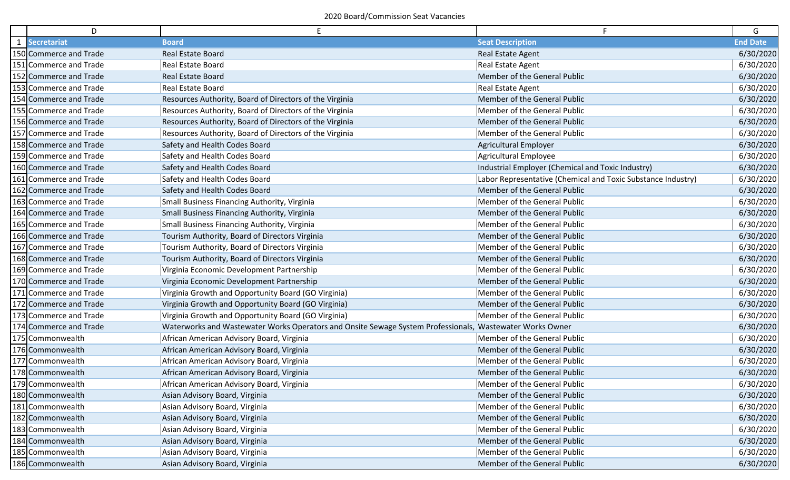| D                      | E                                                                                                        | F.                                                           | G               |
|------------------------|----------------------------------------------------------------------------------------------------------|--------------------------------------------------------------|-----------------|
| 1 Secretariat          | <b>Board</b>                                                                                             | <b>Seat Description</b>                                      | <b>End Date</b> |
| 150 Commerce and Trade | Real Estate Board                                                                                        | Real Estate Agent                                            | 6/30/2020       |
| 151 Commerce and Trade | Real Estate Board                                                                                        | Real Estate Agent                                            | 6/30/2020       |
| 152 Commerce and Trade | <b>Real Estate Board</b>                                                                                 | Member of the General Public                                 | 6/30/2020       |
| 153 Commerce and Trade | Real Estate Board                                                                                        | Real Estate Agent                                            | 6/30/2020       |
| 154 Commerce and Trade | Resources Authority, Board of Directors of the Virginia                                                  | Member of the General Public                                 | 6/30/2020       |
| 155 Commerce and Trade | Resources Authority, Board of Directors of the Virginia                                                  | Member of the General Public                                 | 6/30/2020       |
| 156 Commerce and Trade | Resources Authority, Board of Directors of the Virginia                                                  | Member of the General Public                                 | 6/30/2020       |
| 157 Commerce and Trade | Resources Authority, Board of Directors of the Virginia                                                  | Member of the General Public                                 | 6/30/2020       |
| 158 Commerce and Trade | Safety and Health Codes Board                                                                            | <b>Agricultural Employer</b>                                 | 6/30/2020       |
| 159 Commerce and Trade | Safety and Health Codes Board                                                                            | Agricultural Employee                                        | 6/30/2020       |
| 160 Commerce and Trade | Safety and Health Codes Board                                                                            | Industrial Employer (Chemical and Toxic Industry)            | 6/30/2020       |
| 161 Commerce and Trade | Safety and Health Codes Board                                                                            | Labor Representative (Chemical and Toxic Substance Industry) | 6/30/2020       |
| 162 Commerce and Trade | Safety and Health Codes Board                                                                            | Member of the General Public                                 | 6/30/2020       |
| 163 Commerce and Trade | Small Business Financing Authority, Virginia                                                             | Member of the General Public                                 | 6/30/2020       |
| 164 Commerce and Trade | Small Business Financing Authority, Virginia                                                             | Member of the General Public                                 | 6/30/2020       |
| 165 Commerce and Trade | Small Business Financing Authority, Virginia                                                             | Member of the General Public                                 | 6/30/2020       |
| 166 Commerce and Trade | Tourism Authority, Board of Directors Virginia                                                           | Member of the General Public                                 | 6/30/2020       |
| 167 Commerce and Trade | Tourism Authority, Board of Directors Virginia                                                           | Member of the General Public                                 | 6/30/2020       |
| 168 Commerce and Trade | Tourism Authority, Board of Directors Virginia                                                           | Member of the General Public                                 | 6/30/2020       |
| 169 Commerce and Trade | Virginia Economic Development Partnership                                                                | Member of the General Public                                 | 6/30/2020       |
| 170 Commerce and Trade | Virginia Economic Development Partnership                                                                | Member of the General Public                                 | 6/30/2020       |
| 171 Commerce and Trade | Virginia Growth and Opportunity Board (GO Virginia)                                                      | Member of the General Public                                 | 6/30/2020       |
| 172 Commerce and Trade | Virginia Growth and Opportunity Board (GO Virginia)                                                      | Member of the General Public                                 | 6/30/2020       |
| 173 Commerce and Trade | Virginia Growth and Opportunity Board (GO Virginia)                                                      | Member of the General Public                                 | 6/30/2020       |
| 174 Commerce and Trade | Waterworks and Wastewater Works Operators and Onsite Sewage System Professionals, Wastewater Works Owner |                                                              | 6/30/2020       |
| 175 Commonwealth       | African American Advisory Board, Virginia                                                                | Member of the General Public                                 | 6/30/2020       |
| 176 Commonwealth       | African American Advisory Board, Virginia                                                                | Member of the General Public                                 | 6/30/2020       |
| 177 Commonwealth       | African American Advisory Board, Virginia                                                                | Member of the General Public                                 | 6/30/2020       |
| 178 Commonwealth       | African American Advisory Board, Virginia                                                                | Member of the General Public                                 | 6/30/2020       |
| 179 Commonwealth       | African American Advisory Board, Virginia                                                                | Member of the General Public                                 | 6/30/2020       |
| 180 Commonwealth       | Asian Advisory Board, Virginia                                                                           | Member of the General Public                                 | 6/30/2020       |
| 181 Commonwealth       | Asian Advisory Board, Virginia                                                                           | Member of the General Public                                 | 6/30/2020       |
| 182 Commonwealth       | Asian Advisory Board, Virginia                                                                           | Member of the General Public                                 | 6/30/2020       |
| 183 Commonwealth       | Asian Advisory Board, Virginia                                                                           | Member of the General Public                                 | 6/30/2020       |
| 184 Commonwealth       | Asian Advisory Board, Virginia                                                                           | Member of the General Public                                 | 6/30/2020       |
| 185 Commonwealth       | Asian Advisory Board, Virginia                                                                           | Member of the General Public                                 | 6/30/2020       |
| 186 Commonwealth       | Asian Advisory Board, Virginia                                                                           | Member of the General Public                                 | 6/30/2020       |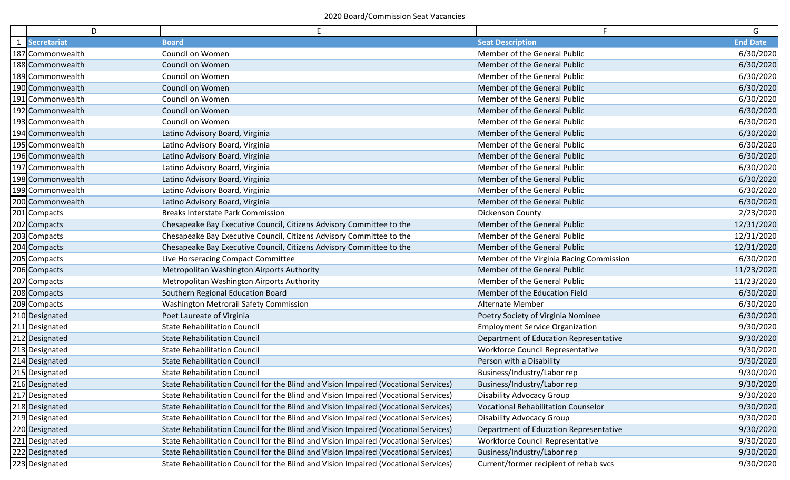| D                | E                                                                                    |                                            | G               |
|------------------|--------------------------------------------------------------------------------------|--------------------------------------------|-----------------|
| 1 Secretariat    | <b>Board</b>                                                                         | <b>Seat Description</b>                    | <b>End Date</b> |
| 187 Commonwealth | Council on Women                                                                     | Member of the General Public               | 6/30/2020       |
| 188 Commonwealth | <b>Council on Women</b>                                                              | Member of the General Public               | 6/30/2020       |
| 189 Commonwealth | <b>Council on Women</b>                                                              | Member of the General Public               | 6/30/2020       |
| 190 Commonwealth | <b>Council on Women</b>                                                              | Member of the General Public               | 6/30/2020       |
| 191 Commonwealth | Council on Women                                                                     | Member of the General Public               | 6/30/2020       |
| 192 Commonwealth | <b>Council on Women</b>                                                              | Member of the General Public               | 6/30/2020       |
| 193 Commonwealth | Council on Women                                                                     | Member of the General Public               | 6/30/2020       |
| 194 Commonwealth | Latino Advisory Board, Virginia                                                      | Member of the General Public               | 6/30/2020       |
| 195 Commonwealth | Latino Advisory Board, Virginia                                                      | Member of the General Public               | 6/30/2020       |
| 196 Commonwealth | Latino Advisory Board, Virginia                                                      | Member of the General Public               | 6/30/2020       |
| 197 Commonwealth | Latino Advisory Board, Virginia                                                      | Member of the General Public               | 6/30/2020       |
| 198 Commonwealth | Latino Advisory Board, Virginia                                                      | Member of the General Public               | 6/30/2020       |
| 199 Commonwealth | Latino Advisory Board, Virginia                                                      | Member of the General Public               | 6/30/2020       |
| 200 Commonwealth | Latino Advisory Board, Virginia                                                      | Member of the General Public               | 6/30/2020       |
| 201 Compacts     | <b>Breaks Interstate Park Commission</b>                                             | Dickenson County                           | 2/23/2020       |
| 202 Compacts     | Chesapeake Bay Executive Council, Citizens Advisory Committee to the                 | Member of the General Public               | 12/31/2020      |
| 203 Compacts     | Chesapeake Bay Executive Council, Citizens Advisory Committee to the                 | Member of the General Public               | 12/31/2020      |
| 204 Compacts     | Chesapeake Bay Executive Council, Citizens Advisory Committee to the                 | Member of the General Public               | 12/31/2020      |
| 205 Compacts     | Live Horseracing Compact Committee                                                   | Member of the Virginia Racing Commission   | 6/30/2020       |
| 206 Compacts     | Metropolitan Washington Airports Authority                                           | Member of the General Public               | 11/23/2020      |
| 207 Compacts     | Metropolitan Washington Airports Authority                                           | Member of the General Public               | 11/23/2020      |
| 208 Compacts     | Southern Regional Education Board                                                    | Member of the Education Field              | 6/30/2020       |
| 209 Compacts     | <b>Washington Metrorail Safety Commission</b>                                        | Alternate Member                           | 6/30/2020       |
| 210 Designated   | Poet Laureate of Virginia                                                            | Poetry Society of Virginia Nominee         | 6/30/2020       |
| 211 Designated   | <b>State Rehabilitation Council</b>                                                  | <b>Employment Service Organization</b>     | 9/30/2020       |
| 212 Designated   | <b>State Rehabilitation Council</b>                                                  | Department of Education Representative     | 9/30/2020       |
| 213 Designated   | <b>State Rehabilitation Council</b>                                                  | <b>Workforce Council Representative</b>    | 9/30/2020       |
| 214 Designated   | <b>State Rehabilitation Council</b>                                                  | Person with a Disability                   | 9/30/2020       |
| 215 Designated   | <b>State Rehabilitation Council</b>                                                  | Business/Industry/Labor rep                | 9/30/2020       |
| 216 Designated   | State Rehabilitation Council for the Blind and Vision Impaired (Vocational Services) | Business/Industry/Labor rep                | 9/30/2020       |
| 217 Designated   | State Rehabilitation Council for the Blind and Vision Impaired (Vocational Services) | Disability Advocacy Group                  | 9/30/2020       |
| 218 Designated   | State Rehabilitation Council for the Blind and Vision Impaired (Vocational Services) | <b>Vocational Rehabilitation Counselor</b> | 9/30/2020       |
| 219 Designated   | State Rehabilitation Council for the Blind and Vision Impaired (Vocational Services) | Disability Advocacy Group                  | 9/30/2020       |
| 220 Designated   | State Rehabilitation Council for the Blind and Vision Impaired (Vocational Services) | Department of Education Representative     | 9/30/2020       |
| 221 Designated   | State Rehabilitation Council for the Blind and Vision Impaired (Vocational Services) | <b>Workforce Council Representative</b>    | 9/30/2020       |
| 222 Designated   | State Rehabilitation Council for the Blind and Vision Impaired (Vocational Services) | Business/Industry/Labor rep                | 9/30/2020       |
| 223 Designated   | State Rehabilitation Council for the Blind and Vision Impaired (Vocational Services) | Current/former recipient of rehab svcs     | 9/30/2020       |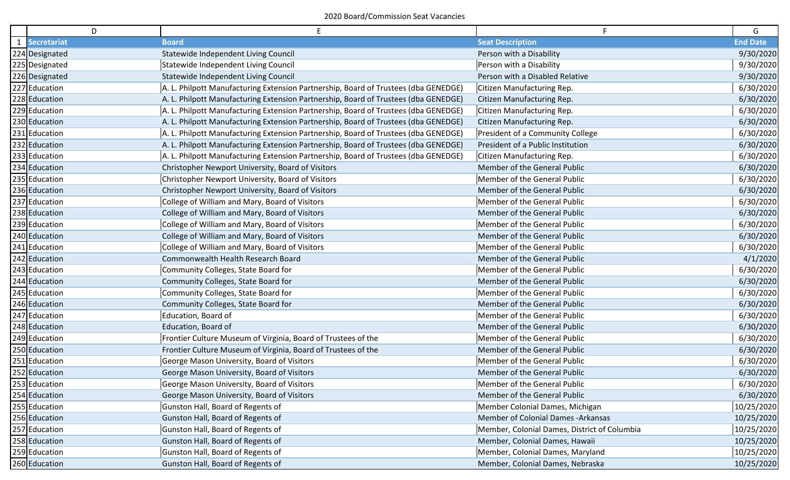| D              | E                                                                                   | F.                                           | G               |
|----------------|-------------------------------------------------------------------------------------|----------------------------------------------|-----------------|
| 1 Secretariat  | <b>Board</b>                                                                        | <b>Seat Description</b>                      | <b>End Date</b> |
| 224 Designated | Statewide Independent Living Council                                                | Person with a Disability                     | 9/30/2020       |
| 225 Designated | Statewide Independent Living Council                                                | Person with a Disability                     | 9/30/2020       |
| 226 Designated | Statewide Independent Living Council                                                | Person with a Disabled Relative              | 9/30/2020       |
| 227 Education  | A. L. Philpott Manufacturing Extension Partnership, Board of Trustees (dba GENEDGE) | Citizen Manufacturing Rep.                   | 6/30/2020       |
| 228 Education  | A. L. Philpott Manufacturing Extension Partnership, Board of Trustees (dba GENEDGE) | Citizen Manufacturing Rep.                   | 6/30/2020       |
| 229 Education  | A. L. Philpott Manufacturing Extension Partnership, Board of Trustees (dba GENEDGE) | Citizen Manufacturing Rep.                   | 6/30/2020       |
| 230 Education  | A. L. Philpott Manufacturing Extension Partnership, Board of Trustees (dba GENEDGE) | Citizen Manufacturing Rep.                   | 6/30/2020       |
| 231 Education  | A. L. Philpott Manufacturing Extension Partnership, Board of Trustees (dba GENEDGE) | President of a Community College             | 6/30/2020       |
| 232 Education  | A. L. Philpott Manufacturing Extension Partnership, Board of Trustees (dba GENEDGE) | President of a Public Institution            | 6/30/2020       |
| 233 Education  | A. L. Philpott Manufacturing Extension Partnership, Board of Trustees (dba GENEDGE) | Citizen Manufacturing Rep.                   | 6/30/2020       |
| 234 Education  | Christopher Newport University, Board of Visitors                                   | Member of the General Public                 | 6/30/2020       |
| 235 Education  | Christopher Newport University, Board of Visitors                                   | Member of the General Public                 | 6/30/2020       |
| 236 Education  | Christopher Newport University, Board of Visitors                                   | Member of the General Public                 | 6/30/2020       |
| 237 Education  | College of William and Mary, Board of Visitors                                      | Member of the General Public                 | 6/30/2020       |
| 238 Education  | College of William and Mary, Board of Visitors                                      | Member of the General Public                 | 6/30/2020       |
| 239 Education  | College of William and Mary, Board of Visitors                                      | Member of the General Public                 | 6/30/2020       |
| 240 Education  | College of William and Mary, Board of Visitors                                      | Member of the General Public                 | 6/30/2020       |
| 241 Education  | College of William and Mary, Board of Visitors                                      | Member of the General Public                 | 6/30/2020       |
| 242 Education  | Commonwealth Health Research Board                                                  | Member of the General Public                 | 4/1/2020        |
| 243 Education  | Community Colleges, State Board for                                                 | Member of the General Public                 | 6/30/2020       |
| 244 Education  | Community Colleges, State Board for                                                 | Member of the General Public                 | 6/30/2020       |
| 245 Education  | Community Colleges, State Board for                                                 | Member of the General Public                 | 6/30/2020       |
| 246 Education  | Community Colleges, State Board for                                                 | Member of the General Public                 | 6/30/2020       |
| 247 Education  | Education, Board of                                                                 | Member of the General Public                 | 6/30/2020       |
| 248 Education  | Education, Board of                                                                 | Member of the General Public                 | 6/30/2020       |
| 249 Education  | Frontier Culture Museum of Virginia, Board of Trustees of the                       | Member of the General Public                 | 6/30/2020       |
| 250 Education  | Frontier Culture Museum of Virginia, Board of Trustees of the                       | Member of the General Public                 | 6/30/2020       |
| 251 Education  | George Mason University, Board of Visitors                                          | Member of the General Public                 | 6/30/2020       |
| 252 Education  | George Mason University, Board of Visitors                                          | Member of the General Public                 | 6/30/2020       |
| 253 Education  | George Mason University, Board of Visitors                                          | Member of the General Public                 | 6/30/2020       |
| 254 Education  | George Mason University, Board of Visitors                                          | Member of the General Public                 | 6/30/2020       |
| 255 Education  | Gunston Hall, Board of Regents of                                                   | Member Colonial Dames, Michigan              | 10/25/2020      |
| 256 Education  | Gunston Hall, Board of Regents of                                                   | Member of Colonial Dames -Arkansas           | 10/25/2020      |
| 257 Education  | Gunston Hall, Board of Regents of                                                   | Member, Colonial Dames, District of Columbia | 10/25/2020      |
| 258 Education  | Gunston Hall, Board of Regents of                                                   | Member, Colonial Dames, Hawaii               | 10/25/2020      |
| 259 Education  | Gunston Hall, Board of Regents of                                                   | Member, Colonial Dames, Maryland             | 10/25/2020      |
| 260 Education  | Gunston Hall, Board of Regents of                                                   | Member, Colonial Dames, Nebraska             | 10/25/2020      |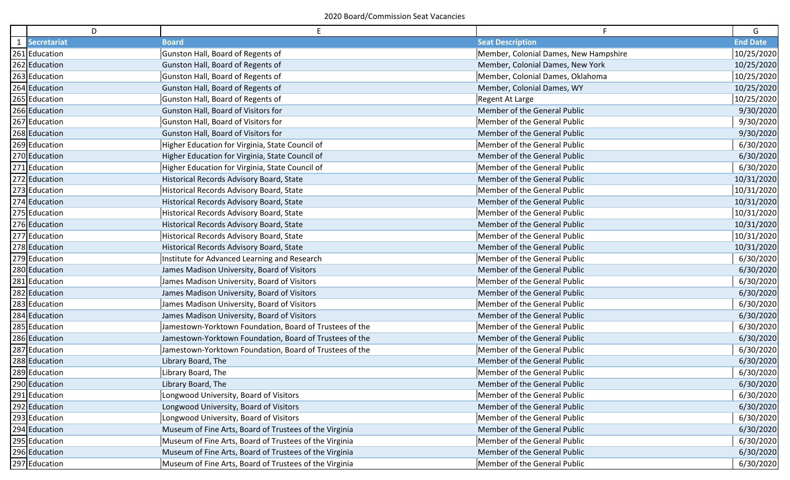| D             | E                                                       | F.                                    | G               |
|---------------|---------------------------------------------------------|---------------------------------------|-----------------|
| 1 Secretariat | <b>Board</b>                                            | <b>Seat Description</b>               | <b>End Date</b> |
| 261 Education | Gunston Hall, Board of Regents of                       | Member, Colonial Dames, New Hampshire | 10/25/2020      |
| 262 Education | Gunston Hall, Board of Regents of                       | Member, Colonial Dames, New York      | 10/25/2020      |
| 263 Education | Gunston Hall, Board of Regents of                       | Member, Colonial Dames, Oklahoma      | 10/25/2020      |
| 264 Education | Gunston Hall, Board of Regents of                       | Member, Colonial Dames, WY            | 10/25/2020      |
| 265 Education | Gunston Hall, Board of Regents of                       | Regent At Large                       | 10/25/2020      |
| 266 Education | Gunston Hall, Board of Visitors for                     | Member of the General Public          | 9/30/2020       |
| 267 Education | Gunston Hall, Board of Visitors for                     | Member of the General Public          | 9/30/2020       |
| 268 Education | Gunston Hall, Board of Visitors for                     | Member of the General Public          | 9/30/2020       |
| 269 Education | Higher Education for Virginia, State Council of         | Member of the General Public          | 6/30/2020       |
| 270 Education | Higher Education for Virginia, State Council of         | Member of the General Public          | 6/30/2020       |
| 271 Education | Higher Education for Virginia, State Council of         | Member of the General Public          | 6/30/2020       |
| 272 Education | Historical Records Advisory Board, State                | Member of the General Public          | 10/31/2020      |
| 273 Education | Historical Records Advisory Board, State                | Member of the General Public          | 10/31/2020      |
| 274 Education | Historical Records Advisory Board, State                | Member of the General Public          | 10/31/2020      |
| 275 Education | Historical Records Advisory Board, State                | Member of the General Public          | 10/31/2020      |
| 276 Education | Historical Records Advisory Board, State                | Member of the General Public          | 10/31/2020      |
| 277 Education | Historical Records Advisory Board, State                | Member of the General Public          | 10/31/2020      |
| 278 Education | Historical Records Advisory Board, State                | Member of the General Public          | 10/31/2020      |
| 279 Education | Institute for Advanced Learning and Research            | Member of the General Public          | 6/30/2020       |
| 280 Education | James Madison University, Board of Visitors             | Member of the General Public          | 6/30/2020       |
| 281 Education | James Madison University, Board of Visitors             | Member of the General Public          | 6/30/2020       |
| 282 Education | James Madison University, Board of Visitors             | Member of the General Public          | 6/30/2020       |
| 283 Education | James Madison University, Board of Visitors             | Member of the General Public          | 6/30/2020       |
| 284 Education | James Madison University, Board of Visitors             | Member of the General Public          | 6/30/2020       |
| 285 Education | Jamestown-Yorktown Foundation, Board of Trustees of the | Member of the General Public          | 6/30/2020       |
| 286 Education | Jamestown-Yorktown Foundation, Board of Trustees of the | Member of the General Public          | 6/30/2020       |
| 287 Education | Jamestown-Yorktown Foundation, Board of Trustees of the | Member of the General Public          | 6/30/2020       |
| 288 Education | Library Board, The                                      | Member of the General Public          | 6/30/2020       |
| 289 Education | Library Board, The                                      | Member of the General Public          | 6/30/2020       |
| 290 Education | Library Board, The                                      | Member of the General Public          | 6/30/2020       |
| 291 Education | Longwood University, Board of Visitors                  | Member of the General Public          | 6/30/2020       |
| 292 Education | Longwood University, Board of Visitors                  | Member of the General Public          | 6/30/2020       |
| 293 Education | Longwood University, Board of Visitors                  | Member of the General Public          | 6/30/2020       |
| 294 Education | Museum of Fine Arts, Board of Trustees of the Virginia  | Member of the General Public          | 6/30/2020       |
| 295 Education | Museum of Fine Arts, Board of Trustees of the Virginia  | Member of the General Public          | 6/30/2020       |
| 296 Education | Museum of Fine Arts, Board of Trustees of the Virginia  | Member of the General Public          | 6/30/2020       |
| 297 Education | Museum of Fine Arts, Board of Trustees of the Virginia  | Member of the General Public          | 6/30/2020       |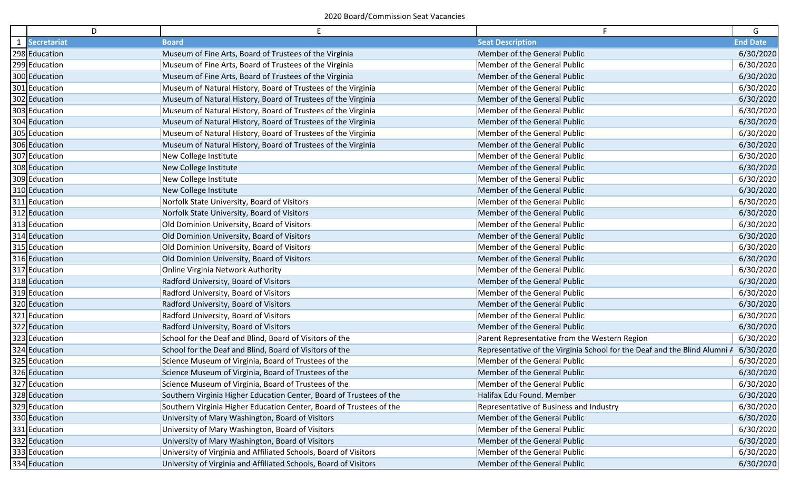| D             | E                                                                   | F.                                                                        | G               |
|---------------|---------------------------------------------------------------------|---------------------------------------------------------------------------|-----------------|
| 1 Secretariat | <b>Board</b>                                                        | <b>Seat Description</b>                                                   | <b>End Date</b> |
| 298 Education | Museum of Fine Arts, Board of Trustees of the Virginia              | Member of the General Public                                              | 6/30/2020       |
| 299 Education | Museum of Fine Arts, Board of Trustees of the Virginia              | Member of the General Public                                              | 6/30/2020       |
| 300 Education | Museum of Fine Arts, Board of Trustees of the Virginia              | Member of the General Public                                              | 6/30/2020       |
| 301 Education | Museum of Natural History, Board of Trustees of the Virginia        | Member of the General Public                                              | 6/30/2020       |
| 302 Education | Museum of Natural History, Board of Trustees of the Virginia        | Member of the General Public                                              | 6/30/2020       |
| 303 Education | Museum of Natural History, Board of Trustees of the Virginia        | Member of the General Public                                              | 6/30/2020       |
| 304 Education | Museum of Natural History, Board of Trustees of the Virginia        | Member of the General Public                                              | 6/30/2020       |
| 305 Education | Museum of Natural History, Board of Trustees of the Virginia        | Member of the General Public                                              | 6/30/2020       |
| 306 Education | Museum of Natural History, Board of Trustees of the Virginia        | Member of the General Public                                              | 6/30/2020       |
| 307 Education | New College Institute                                               | Member of the General Public                                              | 6/30/2020       |
| 308 Education | New College Institute                                               | Member of the General Public                                              | 6/30/2020       |
| 309 Education | New College Institute                                               | Member of the General Public                                              | 6/30/2020       |
| 310 Education | New College Institute                                               | Member of the General Public                                              | 6/30/2020       |
| 311 Education | Norfolk State University, Board of Visitors                         | Member of the General Public                                              | 6/30/2020       |
| 312 Education | Norfolk State University, Board of Visitors                         | Member of the General Public                                              | 6/30/2020       |
| 313 Education | Old Dominion University, Board of Visitors                          | Member of the General Public                                              | 6/30/2020       |
| 314 Education | Old Dominion University, Board of Visitors                          | Member of the General Public                                              | 6/30/2020       |
| 315 Education | Old Dominion University, Board of Visitors                          | Member of the General Public                                              | 6/30/2020       |
| 316 Education | Old Dominion University, Board of Visitors                          | Member of the General Public                                              | 6/30/2020       |
| 317 Education | <b>Online Virginia Network Authority</b>                            | Member of the General Public                                              | 6/30/2020       |
| 318 Education | Radford University, Board of Visitors                               | Member of the General Public                                              | 6/30/2020       |
| 319 Education | Radford University, Board of Visitors                               | Member of the General Public                                              | 6/30/2020       |
| 320 Education | Radford University, Board of Visitors                               | Member of the General Public                                              | 6/30/2020       |
| 321 Education | Radford University, Board of Visitors                               | Member of the General Public                                              | 6/30/2020       |
| 322 Education | Radford University, Board of Visitors                               | Member of the General Public                                              | 6/30/2020       |
| 323 Education | School for the Deaf and Blind, Board of Visitors of the             | Parent Representative from the Western Region                             | 6/30/2020       |
| 324 Education | School for the Deaf and Blind, Board of Visitors of the             | Representative of the Virginia School for the Deaf and the Blind Alumni A | 6/30/2020       |
| 325 Education | Science Museum of Virginia, Board of Trustees of the                | Member of the General Public                                              | 6/30/2020       |
| 326 Education | Science Museum of Virginia, Board of Trustees of the                | Member of the General Public                                              | 6/30/2020       |
| 327 Education | Science Museum of Virginia, Board of Trustees of the                | Member of the General Public                                              | 6/30/2020       |
| 328 Education | Southern Virginia Higher Education Center, Board of Trustees of the | Halifax Edu Found. Member                                                 | 6/30/2020       |
| 329 Education | Southern Virginia Higher Education Center, Board of Trustees of the | Representative of Business and Industry                                   | 6/30/2020       |
| 330 Education | University of Mary Washington, Board of Visitors                    | Member of the General Public                                              | 6/30/2020       |
| 331 Education | University of Mary Washington, Board of Visitors                    | Member of the General Public                                              | 6/30/2020       |
| 332 Education | University of Mary Washington, Board of Visitors                    | Member of the General Public                                              | 6/30/2020       |
| 333 Education | University of Virginia and Affiliated Schools, Board of Visitors    | Member of the General Public                                              | 6/30/2020       |
| 334 Education | University of Virginia and Affiliated Schools, Board of Visitors    | Member of the General Public                                              | 6/30/2020       |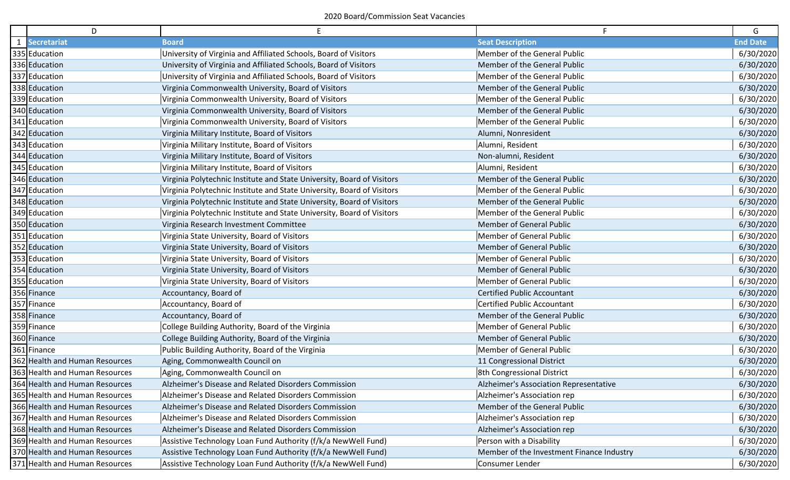| D                              | E                                                                      | F.                                        | G               |
|--------------------------------|------------------------------------------------------------------------|-------------------------------------------|-----------------|
| 1 Secretariat                  | <b>Board</b>                                                           | <b>Seat Description</b>                   | <b>End Date</b> |
| 335 Education                  | University of Virginia and Affiliated Schools, Board of Visitors       | Member of the General Public              | 6/30/2020       |
| 336 Education                  | University of Virginia and Affiliated Schools, Board of Visitors       | Member of the General Public              | 6/30/2020       |
| 337 Education                  | University of Virginia and Affiliated Schools, Board of Visitors       | Member of the General Public              | 6/30/2020       |
| 338 Education                  | Virginia Commonwealth University, Board of Visitors                    | Member of the General Public              | 6/30/2020       |
| 339 Education                  | Virginia Commonwealth University, Board of Visitors                    | Member of the General Public              | 6/30/2020       |
| 340 Education                  | Virginia Commonwealth University, Board of Visitors                    | Member of the General Public              | 6/30/2020       |
| 341 Education                  | Virginia Commonwealth University, Board of Visitors                    | Member of the General Public              | 6/30/2020       |
| 342 Education                  | Virginia Military Institute, Board of Visitors                         | Alumni, Nonresident                       | 6/30/2020       |
| 343 Education                  | Virginia Military Institute, Board of Visitors                         | Alumni, Resident                          | 6/30/2020       |
| 344 Education                  | Virginia Military Institute, Board of Visitors                         | Non-alumni, Resident                      | 6/30/2020       |
| 345 Education                  | Virginia Military Institute, Board of Visitors                         | Alumni, Resident                          | 6/30/2020       |
| 346 Education                  | Virginia Polytechnic Institute and State University, Board of Visitors | Member of the General Public              | 6/30/2020       |
| 347 Education                  | Virginia Polytechnic Institute and State University, Board of Visitors | Member of the General Public              | 6/30/2020       |
| 348 Education                  | Virginia Polytechnic Institute and State University, Board of Visitors | Member of the General Public              | 6/30/2020       |
| 349 Education                  | Virginia Polytechnic Institute and State University, Board of Visitors | Member of the General Public              | 6/30/2020       |
| 350 Education                  | Virginia Research Investment Committee                                 | <b>Member of General Public</b>           | 6/30/2020       |
| 351 Education                  | Virginia State University, Board of Visitors                           | <b>Member of General Public</b>           | 6/30/2020       |
| 352 Education                  | Virginia State University, Board of Visitors                           | <b>Member of General Public</b>           | 6/30/2020       |
| 353 Education                  | Virginia State University, Board of Visitors                           | Member of General Public                  | 6/30/2020       |
| 354 Education                  | Virginia State University, Board of Visitors                           | <b>Member of General Public</b>           | 6/30/2020       |
| 355 Education                  | Virginia State University, Board of Visitors                           | Member of General Public                  | 6/30/2020       |
| 356 Finance                    | Accountancy, Board of                                                  | <b>Certified Public Accountant</b>        | 6/30/2020       |
| 357 Finance                    | Accountancy, Board of                                                  | <b>Certified Public Accountant</b>        | 6/30/2020       |
| 358 Finance                    | Accountancy, Board of                                                  | Member of the General Public              | 6/30/2020       |
| 359 Finance                    | College Building Authority, Board of the Virginia                      | Member of General Public                  | 6/30/2020       |
| 360 Finance                    | College Building Authority, Board of the Virginia                      | <b>Member of General Public</b>           | 6/30/2020       |
| 361 Finance                    | Public Building Authority, Board of the Virginia                       | Member of General Public                  | 6/30/2020       |
| 362 Health and Human Resources | Aging, Commonwealth Council on                                         | 11 Congressional District                 | 6/30/2020       |
| 363 Health and Human Resources | Aging, Commonwealth Council on                                         | 8th Congressional District                | 6/30/2020       |
| 364 Health and Human Resources | Alzheimer's Disease and Related Disorders Commission                   | Alzheimer's Association Representative    | 6/30/2020       |
| 365 Health and Human Resources | Alzheimer's Disease and Related Disorders Commission                   | Alzheimer's Association rep               | 6/30/2020       |
| 366 Health and Human Resources | Alzheimer's Disease and Related Disorders Commission                   | Member of the General Public              | 6/30/2020       |
| 367 Health and Human Resources | Alzheimer's Disease and Related Disorders Commission                   | Alzheimer's Association rep               | 6/30/2020       |
| 368 Health and Human Resources | Alzheimer's Disease and Related Disorders Commission                   | Alzheimer's Association rep               | 6/30/2020       |
| 369 Health and Human Resources | Assistive Technology Loan Fund Authority (f/k/a NewWell Fund)          | Person with a Disability                  | 6/30/2020       |
| 370 Health and Human Resources | Assistive Technology Loan Fund Authority (f/k/a NewWell Fund)          | Member of the Investment Finance Industry | 6/30/2020       |
| 371 Health and Human Resources | Assistive Technology Loan Fund Authority (f/k/a NewWell Fund)          | Consumer Lender                           | 6/30/2020       |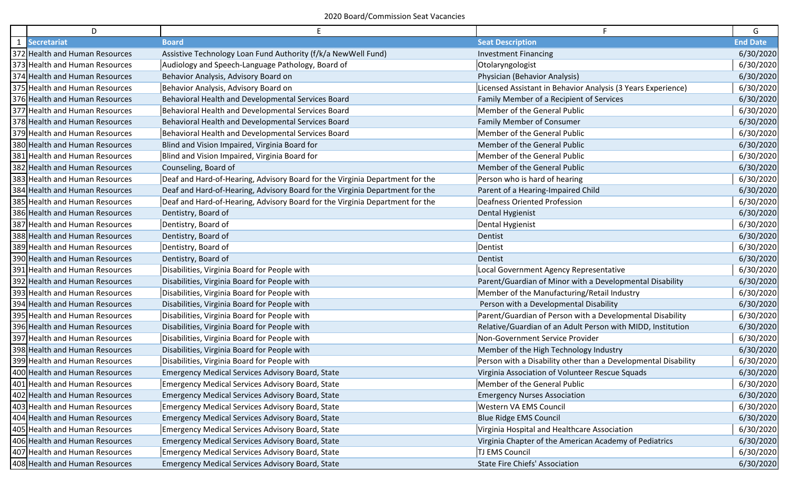| D                              |                                                                              |                                                                | G               |
|--------------------------------|------------------------------------------------------------------------------|----------------------------------------------------------------|-----------------|
| 1 Secretariat                  | <b>Board</b>                                                                 | <b>Seat Description</b>                                        | <b>End Date</b> |
| 372 Health and Human Resources | Assistive Technology Loan Fund Authority (f/k/a NewWell Fund)                | <b>Investment Financing</b>                                    | 6/30/2020       |
| 373 Health and Human Resources | Audiology and Speech-Language Pathology, Board of                            | Otolaryngologist                                               | 6/30/2020       |
| 374 Health and Human Resources | Behavior Analysis, Advisory Board on                                         | Physician (Behavior Analysis)                                  | 6/30/2020       |
| 375 Health and Human Resources | Behavior Analysis, Advisory Board on                                         | Licensed Assistant in Behavior Analysis (3 Years Experience)   | 6/30/2020       |
| 376 Health and Human Resources | Behavioral Health and Developmental Services Board                           | Family Member of a Recipient of Services                       | 6/30/2020       |
| 377 Health and Human Resources | Behavioral Health and Developmental Services Board                           | Member of the General Public                                   | 6/30/2020       |
| 378 Health and Human Resources | Behavioral Health and Developmental Services Board                           | Family Member of Consumer                                      | 6/30/2020       |
| 379 Health and Human Resources | Behavioral Health and Developmental Services Board                           | Member of the General Public                                   | 6/30/2020       |
| 380 Health and Human Resources | Blind and Vision Impaired, Virginia Board for                                | Member of the General Public                                   | 6/30/2020       |
| 381 Health and Human Resources | Blind and Vision Impaired, Virginia Board for                                | Member of the General Public                                   | 6/30/2020       |
| 382 Health and Human Resources | Counseling, Board of                                                         | Member of the General Public                                   | 6/30/2020       |
| 383 Health and Human Resources | Deaf and Hard-of-Hearing, Advisory Board for the Virginia Department for the | Person who is hard of hearing                                  | 6/30/2020       |
| 384 Health and Human Resources | Deaf and Hard-of-Hearing, Advisory Board for the Virginia Department for the | Parent of a Hearing-Impaired Child                             | 6/30/2020       |
| 385 Health and Human Resources | Deaf and Hard-of-Hearing, Advisory Board for the Virginia Department for the | Deafness Oriented Profession                                   | 6/30/2020       |
| 386 Health and Human Resources | Dentistry, Board of                                                          | Dental Hygienist                                               | 6/30/2020       |
| 387 Health and Human Resources | Dentistry, Board of                                                          | Dental Hygienist                                               | 6/30/2020       |
| 388 Health and Human Resources | Dentistry, Board of                                                          | Dentist                                                        | 6/30/2020       |
| 389 Health and Human Resources | Dentistry, Board of                                                          | Dentist                                                        | 6/30/2020       |
| 390 Health and Human Resources | Dentistry, Board of                                                          | Dentist                                                        | 6/30/2020       |
| 391 Health and Human Resources | Disabilities, Virginia Board for People with                                 | Local Government Agency Representative                         | 6/30/2020       |
| 392 Health and Human Resources | Disabilities, Virginia Board for People with                                 | Parent/Guardian of Minor with a Developmental Disability       | 6/30/2020       |
| 393 Health and Human Resources | Disabilities, Virginia Board for People with                                 | Member of the Manufacturing/Retail Industry                    | 6/30/2020       |
| 394 Health and Human Resources | Disabilities, Virginia Board for People with                                 | Person with a Developmental Disability                         | 6/30/2020       |
| 395 Health and Human Resources | Disabilities, Virginia Board for People with                                 | Parent/Guardian of Person with a Developmental Disability      | 6/30/2020       |
| 396 Health and Human Resources | Disabilities, Virginia Board for People with                                 | Relative/Guardian of an Adult Person with MIDD, Institution    | 6/30/2020       |
| 397 Health and Human Resources | Disabilities, Virginia Board for People with                                 | Non-Government Service Provider                                | 6/30/2020       |
| 398 Health and Human Resources | Disabilities, Virginia Board for People with                                 | Member of the High Technology Industry                         | 6/30/2020       |
| 399 Health and Human Resources | Disabilities, Virginia Board for People with                                 | Person with a Disability other than a Developmental Disability | 6/30/2020       |
| 400 Health and Human Resources | <b>Emergency Medical Services Advisory Board, State</b>                      | Virginia Association of Volunteer Rescue Squads                | 6/30/2020       |
| 401 Health and Human Resources | <b>Emergency Medical Services Advisory Board, State</b>                      | Member of the General Public                                   | 6/30/2020       |
| 402 Health and Human Resources | <b>Emergency Medical Services Advisory Board, State</b>                      | <b>Emergency Nurses Association</b>                            | 6/30/2020       |
| 403 Health and Human Resources | <b>Emergency Medical Services Advisory Board, State</b>                      | Western VA EMS Council                                         | 6/30/2020       |
| 404 Health and Human Resources | <b>Emergency Medical Services Advisory Board, State</b>                      | <b>Blue Ridge EMS Council</b>                                  | 6/30/2020       |
| 405 Health and Human Resources | <b>Emergency Medical Services Advisory Board, State</b>                      | Virginia Hospital and Healthcare Association                   | 6/30/2020       |
| 406 Health and Human Resources | <b>Emergency Medical Services Advisory Board, State</b>                      | Virginia Chapter of the American Academy of Pediatrics         | 6/30/2020       |
| 407 Health and Human Resources | <b>Emergency Medical Services Advisory Board, State</b>                      | TJ EMS Council                                                 | 6/30/2020       |
| 408 Health and Human Resources | <b>Emergency Medical Services Advisory Board, State</b>                      | State Fire Chiefs' Association                                 | 6/30/2020       |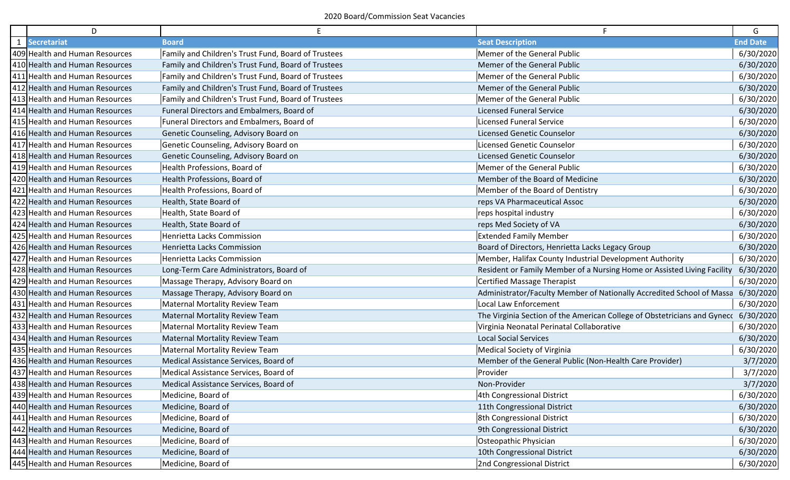| D                              |                                                     | F.                                                                       | G               |
|--------------------------------|-----------------------------------------------------|--------------------------------------------------------------------------|-----------------|
| 1 Secretariat                  | <b>Board</b>                                        | <b>Seat Description</b>                                                  | <b>End Date</b> |
| 409 Health and Human Resources | Family and Children's Trust Fund, Board of Trustees | Memer of the General Public                                              | 6/30/2020       |
| 410 Health and Human Resources | Family and Children's Trust Fund, Board of Trustees | Memer of the General Public                                              | 6/30/2020       |
| 411 Health and Human Resources | Family and Children's Trust Fund, Board of Trustees | Memer of the General Public                                              | 6/30/2020       |
| 412 Health and Human Resources | Family and Children's Trust Fund, Board of Trustees | Memer of the General Public                                              | 6/30/2020       |
| 413 Health and Human Resources | Family and Children's Trust Fund, Board of Trustees | Memer of the General Public                                              | 6/30/2020       |
| 414 Health and Human Resources | Funeral Directors and Embalmers, Board of           | <b>Licensed Funeral Service</b>                                          | 6/30/2020       |
| 415 Health and Human Resources | Funeral Directors and Embalmers, Board of           | Licensed Funeral Service                                                 | 6/30/2020       |
| 416 Health and Human Resources | Genetic Counseling, Advisory Board on               | <b>Licensed Genetic Counselor</b>                                        | 6/30/2020       |
| 417 Health and Human Resources | Genetic Counseling, Advisory Board on               | Licensed Genetic Counselor                                               | 6/30/2020       |
| 418 Health and Human Resources | Genetic Counseling, Advisory Board on               | <b>Licensed Genetic Counselor</b>                                        | 6/30/2020       |
| 419 Health and Human Resources | Health Professions, Board of                        | Memer of the General Public                                              | 6/30/2020       |
| 420 Health and Human Resources | Health Professions, Board of                        | Member of the Board of Medicine                                          | 6/30/2020       |
| 421 Health and Human Resources | Health Professions, Board of                        | Member of the Board of Dentistry                                         | 6/30/2020       |
| 422 Health and Human Resources | Health, State Board of                              | reps VA Pharmaceutical Assoc                                             | 6/30/2020       |
| 423 Health and Human Resources | Health, State Board of                              | reps hospital industry                                                   | 6/30/2020       |
| 424 Health and Human Resources | Health, State Board of                              | reps Med Society of VA                                                   | 6/30/2020       |
| 425 Health and Human Resources | Henrietta Lacks Commission                          | <b>Extended Family Member</b>                                            | 6/30/2020       |
| 426 Health and Human Resources | Henrietta Lacks Commission                          | Board of Directors, Henrietta Lacks Legacy Group                         | 6/30/2020       |
| 427 Health and Human Resources | Henrietta Lacks Commission                          | Member, Halifax County Industrial Development Authority                  | 6/30/2020       |
| 428 Health and Human Resources | Long-Term Care Administrators, Board of             | Resident or Family Member of a Nursing Home or Assisted Living Facility  | 6/30/2020       |
| 429 Health and Human Resources | Massage Therapy, Advisory Board on                  | Certified Massage Therapist                                              | 6/30/2020       |
| 430 Health and Human Resources | Massage Therapy, Advisory Board on                  | Administrator/Faculty Member of Nationally Accredited School of Massa    | 6/30/2020       |
| 431 Health and Human Resources | Maternal Mortality Review Team                      | Local Law Enforcement                                                    | 6/30/2020       |
| 432 Health and Human Resources | <b>Maternal Mortality Review Team</b>               | The Virginia Section of the American College of Obstetricians and Gynecc | 6/30/2020       |
| 433 Health and Human Resources | Maternal Mortality Review Team                      | Virginia Neonatal Perinatal Collaborative                                | 6/30/2020       |
| 434 Health and Human Resources | Maternal Mortality Review Team                      | <b>Local Social Services</b>                                             | 6/30/2020       |
| 435 Health and Human Resources | Maternal Mortality Review Team                      | Medical Society of Virginia                                              | 6/30/2020       |
| 436 Health and Human Resources | Medical Assistance Services, Board of               | Member of the General Public (Non-Health Care Provider)                  | 3/7/2020        |
| 437 Health and Human Resources | Medical Assistance Services, Board of               | Provider                                                                 | 3/7/2020        |
| 438 Health and Human Resources | Medical Assistance Services, Board of               | Non-Provider                                                             | 3/7/2020        |
| 439 Health and Human Resources | Medicine, Board of                                  | 4th Congressional District                                               | 6/30/2020       |
| 440 Health and Human Resources | Medicine, Board of                                  | 11th Congressional District                                              | 6/30/2020       |
| 441 Health and Human Resources | Medicine, Board of                                  | 8th Congressional District                                               | 6/30/2020       |
| 442 Health and Human Resources | Medicine, Board of                                  | 9th Congressional District                                               | 6/30/2020       |
| 443 Health and Human Resources | Medicine, Board of                                  | Osteopathic Physician                                                    | 6/30/2020       |
| 444 Health and Human Resources | Medicine, Board of                                  | 10th Congressional District                                              | 6/30/2020       |
| 445 Health and Human Resources | Medicine, Board of                                  | 2nd Congressional District                                               | 6/30/2020       |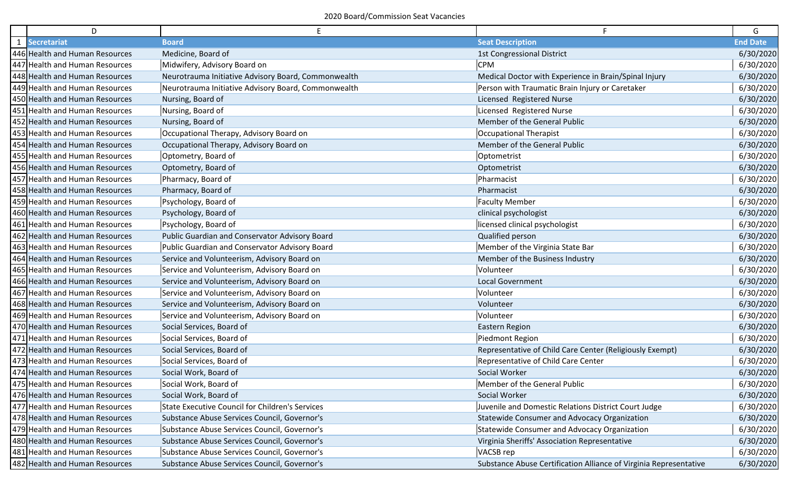| D                              | Ε                                                      |                                                                   | G               |
|--------------------------------|--------------------------------------------------------|-------------------------------------------------------------------|-----------------|
| 1 Secretariat                  | <b>Board</b>                                           | <b>Seat Description</b>                                           | <b>End Date</b> |
| 446 Health and Human Resources | Medicine, Board of                                     | <b>1st Congressional District</b>                                 | 6/30/2020       |
| 447 Health and Human Resources | Midwifery, Advisory Board on                           | <b>CPM</b>                                                        | 6/30/2020       |
| 448 Health and Human Resources | Neurotrauma Initiative Advisory Board, Commonwealth    | Medical Doctor with Experience in Brain/Spinal Injury             | 6/30/2020       |
| 449 Health and Human Resources | Neurotrauma Initiative Advisory Board, Commonwealth    | Person with Traumatic Brain Injury or Caretaker                   | 6/30/2020       |
| 450 Health and Human Resources | Nursing, Board of                                      | Licensed Registered Nurse                                         | 6/30/2020       |
| 451 Health and Human Resources | Nursing, Board of                                      | Licensed Registered Nurse                                         | 6/30/2020       |
| 452 Health and Human Resources | Nursing, Board of                                      | Member of the General Public                                      | 6/30/2020       |
| 453 Health and Human Resources | Occupational Therapy, Advisory Board on                | Occupational Therapist                                            | 6/30/2020       |
| 454 Health and Human Resources | Occupational Therapy, Advisory Board on                | Member of the General Public                                      | 6/30/2020       |
| 455 Health and Human Resources | Optometry, Board of                                    | Optometrist                                                       | 6/30/2020       |
| 456 Health and Human Resources | Optometry, Board of                                    | Optometrist                                                       | 6/30/2020       |
| 457 Health and Human Resources | Pharmacy, Board of                                     | Pharmacist                                                        | 6/30/2020       |
| 458 Health and Human Resources | Pharmacy, Board of                                     | Pharmacist                                                        | 6/30/2020       |
| 459 Health and Human Resources | Psychology, Board of                                   | <b>Faculty Member</b>                                             | 6/30/2020       |
| 460 Health and Human Resources | Psychology, Board of                                   | clinical psychologist                                             | 6/30/2020       |
| 461 Health and Human Resources | Psychology, Board of                                   | licensed clinical psychologist                                    | 6/30/2020       |
| 462 Health and Human Resources | Public Guardian and Conservator Advisory Board         | Qualified person                                                  | 6/30/2020       |
| 463 Health and Human Resources | Public Guardian and Conservator Advisory Board         | Member of the Virginia State Bar                                  | 6/30/2020       |
| 464 Health and Human Resources | Service and Volunteerism, Advisory Board on            | Member of the Business Industry                                   | 6/30/2020       |
| 465 Health and Human Resources | Service and Volunteerism, Advisory Board on            | Volunteer                                                         | 6/30/2020       |
| 466 Health and Human Resources | Service and Volunteerism, Advisory Board on            | <b>Local Government</b>                                           | 6/30/2020       |
| 467 Health and Human Resources | Service and Volunteerism, Advisory Board on            | Volunteer                                                         | 6/30/2020       |
| 468 Health and Human Resources | Service and Volunteerism, Advisory Board on            | Volunteer                                                         | 6/30/2020       |
| 469 Health and Human Resources | Service and Volunteerism, Advisory Board on            | Volunteer                                                         | 6/30/2020       |
| 470 Health and Human Resources | Social Services, Board of                              | Eastern Region                                                    | 6/30/2020       |
| 471 Health and Human Resources | Social Services, Board of                              | Piedmont Region                                                   | 6/30/2020       |
| 472 Health and Human Resources | Social Services, Board of                              | Representative of Child Care Center (Religiously Exempt)          | 6/30/2020       |
| 473 Health and Human Resources | Social Services, Board of                              | <b>Representative of Child Care Center</b>                        | 6/30/2020       |
| 474 Health and Human Resources | Social Work, Board of                                  | Social Worker                                                     | 6/30/2020       |
| 475 Health and Human Resources | Social Work, Board of                                  | Member of the General Public                                      | 6/30/2020       |
| 476 Health and Human Resources | Social Work, Board of                                  | Social Worker                                                     | 6/30/2020       |
| 477 Health and Human Resources | <b>State Executive Council for Children's Services</b> | Juvenile and Domestic Relations District Court Judge              | 6/30/2020       |
| 478 Health and Human Resources | Substance Abuse Services Council, Governor's           | Statewide Consumer and Advocacy Organization                      | 6/30/2020       |
| 479 Health and Human Resources | Substance Abuse Services Council, Governor's           | Statewide Consumer and Advocacy Organization                      | 6/30/2020       |
| 480 Health and Human Resources | Substance Abuse Services Council, Governor's           | Virginia Sheriffs' Association Representative                     | 6/30/2020       |
| 481 Health and Human Resources | Substance Abuse Services Council, Governor's           | VACSB rep                                                         | 6/30/2020       |
| 482 Health and Human Resources | Substance Abuse Services Council, Governor's           | Substance Abuse Certification Alliance of Virginia Representative | 6/30/2020       |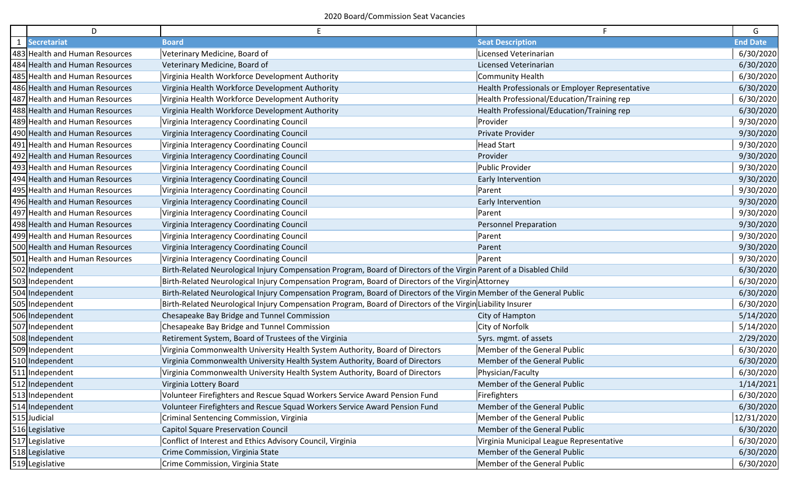| D                              | E                                                                                                                     |                                                 | G               |
|--------------------------------|-----------------------------------------------------------------------------------------------------------------------|-------------------------------------------------|-----------------|
| 1 Secretariat                  | <b>Board</b>                                                                                                          | <b>Seat Description</b>                         | <b>End Date</b> |
| 483 Health and Human Resources | Veterinary Medicine, Board of                                                                                         | Licensed Veterinarian                           | 6/30/2020       |
| 484 Health and Human Resources | Veterinary Medicine, Board of                                                                                         | Licensed Veterinarian                           | 6/30/2020       |
| 485 Health and Human Resources | Virginia Health Workforce Development Authority                                                                       | <b>Community Health</b>                         | 6/30/2020       |
| 486 Health and Human Resources | Virginia Health Workforce Development Authority                                                                       | Health Professionals or Employer Representative | 6/30/2020       |
| 487 Health and Human Resources | Virginia Health Workforce Development Authority                                                                       | Health Professional/Education/Training rep      | 6/30/2020       |
| 488 Health and Human Resources | Virginia Health Workforce Development Authority                                                                       | Health Professional/Education/Training rep      | 6/30/2020       |
| 489 Health and Human Resources | Virginia Interagency Coordinating Council                                                                             | Provider                                        | 9/30/2020       |
| 490 Health and Human Resources | Virginia Interagency Coordinating Council                                                                             | Private Provider                                | 9/30/2020       |
| 491 Health and Human Resources | Virginia Interagency Coordinating Council                                                                             | <b>Head Start</b>                               | 9/30/2020       |
| 492 Health and Human Resources | Virginia Interagency Coordinating Council                                                                             | Provider                                        | 9/30/2020       |
| 493 Health and Human Resources | Virginia Interagency Coordinating Council                                                                             | <b>Public Provider</b>                          | 9/30/2020       |
| 494 Health and Human Resources | Virginia Interagency Coordinating Council                                                                             | Early Intervention                              | 9/30/2020       |
| 495 Health and Human Resources | Virginia Interagency Coordinating Council                                                                             | Parent                                          | 9/30/2020       |
| 496 Health and Human Resources | Virginia Interagency Coordinating Council                                                                             | Early Intervention                              | 9/30/2020       |
| 497 Health and Human Resources | Virginia Interagency Coordinating Council                                                                             | Parent                                          | 9/30/2020       |
| 498 Health and Human Resources | Virginia Interagency Coordinating Council                                                                             | <b>Personnel Preparation</b>                    | 9/30/2020       |
| 499 Health and Human Resources | Virginia Interagency Coordinating Council                                                                             | Parent                                          | 9/30/2020       |
| 500 Health and Human Resources | Virginia Interagency Coordinating Council                                                                             | Parent                                          | 9/30/2020       |
| 501 Health and Human Resources | Virginia Interagency Coordinating Council                                                                             | Parent                                          | 9/30/2020       |
| 502 Independent                | Birth-Related Neurological Injury Compensation Program, Board of Directors of the Virgin Parent of a Disabled Child   |                                                 | 6/30/2020       |
| 503 Independent                | Birth-Related Neurological Injury Compensation Program, Board of Directors of the Virgin Attorney                     |                                                 | 6/30/2020       |
| 504 Independent                | Birth-Related Neurological Injury Compensation Program, Board of Directors of the Virgin Member of the General Public |                                                 | 6/30/2020       |
| 505 Independent                | Birth-Related Neurological Injury Compensation Program, Board of Directors of the Virgin Liability Insurer            |                                                 | 6/30/2020       |
| 506 Independent                | Chesapeake Bay Bridge and Tunnel Commission                                                                           | City of Hampton                                 | 5/14/2020       |
| 507 Independent                | Chesapeake Bay Bridge and Tunnel Commission                                                                           | City of Norfolk                                 | 5/14/2020       |
| 508 Independent                | Retirement System, Board of Trustees of the Virginia                                                                  | 5yrs. mgmt. of assets                           | 2/29/2020       |
| 509 Independent                | Virginia Commonwealth University Health System Authority, Board of Directors                                          | Member of the General Public                    | 6/30/2020       |
| 510 Independent                | Virginia Commonwealth University Health System Authority, Board of Directors                                          | Member of the General Public                    | 6/30/2020       |
| 511 Independent                | Virginia Commonwealth University Health System Authority, Board of Directors                                          | Physician/Faculty                               | 6/30/2020       |
| 512 Independent                | Virginia Lottery Board                                                                                                | Member of the General Public                    | 1/14/2021       |
| 513 Independent                | Volunteer Firefighters and Rescue Squad Workers Service Award Pension Fund                                            | Firefighters                                    | 6/30/2020       |
| 514 Independent                | Volunteer Firefighters and Rescue Squad Workers Service Award Pension Fund                                            | Member of the General Public                    | 6/30/2020       |
| 515 Judicial                   | Criminal Sentencing Commission, Virginia                                                                              | Member of the General Public                    | 12/31/2020      |
| 516 Legislative                | <b>Capitol Square Preservation Council</b>                                                                            | Member of the General Public                    | 6/30/2020       |
| 517 Legislative                | Conflict of Interest and Ethics Advisory Council, Virginia                                                            | Virginia Municipal League Representative        | 6/30/2020       |
| 518 Legislative                | Crime Commission, Virginia State                                                                                      | Member of the General Public                    | 6/30/2020       |
| 519 Legislative                | Crime Commission, Virginia State                                                                                      | Member of the General Public                    | 6/30/2020       |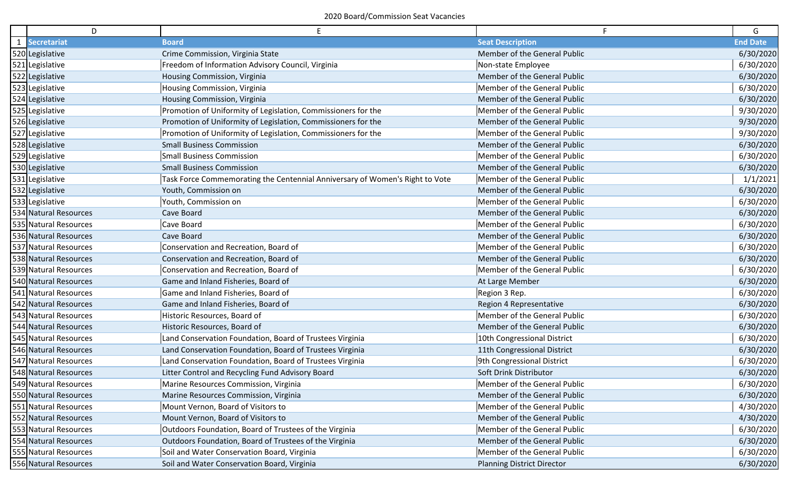|              | D                     | E.                                                                           | F.                                | G               |
|--------------|-----------------------|------------------------------------------------------------------------------|-----------------------------------|-----------------|
| $\mathbf{1}$ | Secretariat           | <b>Board</b>                                                                 | <b>Seat Description</b>           | <b>End Date</b> |
|              | 520 Legislative       | Crime Commission, Virginia State                                             | Member of the General Public      | 6/30/2020       |
|              | 521 Legislative       | Freedom of Information Advisory Council, Virginia                            | Non-state Employee                | 6/30/2020       |
|              | 522 Legislative       | Housing Commission, Virginia                                                 | Member of the General Public      | 6/30/2020       |
|              | 523 Legislative       | Housing Commission, Virginia                                                 | Member of the General Public      | 6/30/2020       |
|              | 524 Legislative       | Housing Commission, Virginia                                                 | Member of the General Public      | 6/30/2020       |
|              | 525 Legislative       | Promotion of Uniformity of Legislation, Commissioners for the                | Member of the General Public      | 9/30/2020       |
|              | 526 Legislative       | Promotion of Uniformity of Legislation, Commissioners for the                | Member of the General Public      | 9/30/2020       |
|              | 527 Legislative       | Promotion of Uniformity of Legislation, Commissioners for the                | Member of the General Public      | 9/30/2020       |
|              | 528 Legislative       | <b>Small Business Commission</b>                                             | Member of the General Public      | 6/30/2020       |
|              | 529 Legislative       | <b>Small Business Commission</b>                                             | Member of the General Public      | 6/30/2020       |
|              | 530 Legislative       | <b>Small Business Commission</b>                                             | Member of the General Public      | 6/30/2020       |
|              | 531 Legislative       | Task Force Commemorating the Centennial Anniversary of Women's Right to Vote | Member of the General Public      | 1/1/2021        |
|              | 532 Legislative       | Youth, Commission on                                                         | Member of the General Public      | 6/30/2020       |
|              | 533 Legislative       | Youth, Commission on                                                         | Member of the General Public      | 6/30/2020       |
|              | 534 Natural Resources | Cave Board                                                                   | Member of the General Public      | 6/30/2020       |
|              | 535 Natural Resources | Cave Board                                                                   | Member of the General Public      | 6/30/2020       |
|              | 536 Natural Resources | Cave Board                                                                   | Member of the General Public      | 6/30/2020       |
|              | 537 Natural Resources | Conservation and Recreation, Board of                                        | Member of the General Public      | 6/30/2020       |
|              | 538 Natural Resources | Conservation and Recreation, Board of                                        | Member of the General Public      | 6/30/2020       |
|              | 539 Natural Resources | Conservation and Recreation, Board of                                        | Member of the General Public      | 6/30/2020       |
|              | 540 Natural Resources | Game and Inland Fisheries, Board of                                          | At Large Member                   | 6/30/2020       |
|              | 541 Natural Resources | Game and Inland Fisheries, Board of                                          | Region 3 Rep.                     | 6/30/2020       |
|              | 542 Natural Resources | Game and Inland Fisheries, Board of                                          | Region 4 Representative           | 6/30/2020       |
|              | 543 Natural Resources | Historic Resources, Board of                                                 | Member of the General Public      | 6/30/2020       |
|              | 544 Natural Resources | Historic Resources, Board of                                                 | Member of the General Public      | 6/30/2020       |
|              | 545 Natural Resources | Land Conservation Foundation, Board of Trustees Virginia                     | 10th Congressional District       | 6/30/2020       |
|              | 546 Natural Resources | Land Conservation Foundation, Board of Trustees Virginia                     | 11th Congressional District       | 6/30/2020       |
|              | 547 Natural Resources | Land Conservation Foundation, Board of Trustees Virginia                     | 9th Congressional District        | 6/30/2020       |
|              | 548 Natural Resources | Litter Control and Recycling Fund Advisory Board                             | Soft Drink Distributor            | 6/30/2020       |
|              | 549 Natural Resources | Marine Resources Commission, Virginia                                        | Member of the General Public      | 6/30/2020       |
|              | 550 Natural Resources | Marine Resources Commission, Virginia                                        | Member of the General Public      | 6/30/2020       |
|              | 551 Natural Resources | Mount Vernon, Board of Visitors to                                           | Member of the General Public      | 4/30/2020       |
|              | 552 Natural Resources | Mount Vernon, Board of Visitors to                                           | Member of the General Public      | 4/30/2020       |
|              | 553 Natural Resources | Outdoors Foundation, Board of Trustees of the Virginia                       | Member of the General Public      | 6/30/2020       |
|              | 554 Natural Resources | Outdoors Foundation, Board of Trustees of the Virginia                       | Member of the General Public      | 6/30/2020       |
|              | 555 Natural Resources | Soil and Water Conservation Board, Virginia                                  | Member of the General Public      | 6/30/2020       |
|              | 556 Natural Resources | Soil and Water Conservation Board, Virginia                                  | <b>Planning District Director</b> | 6/30/2020       |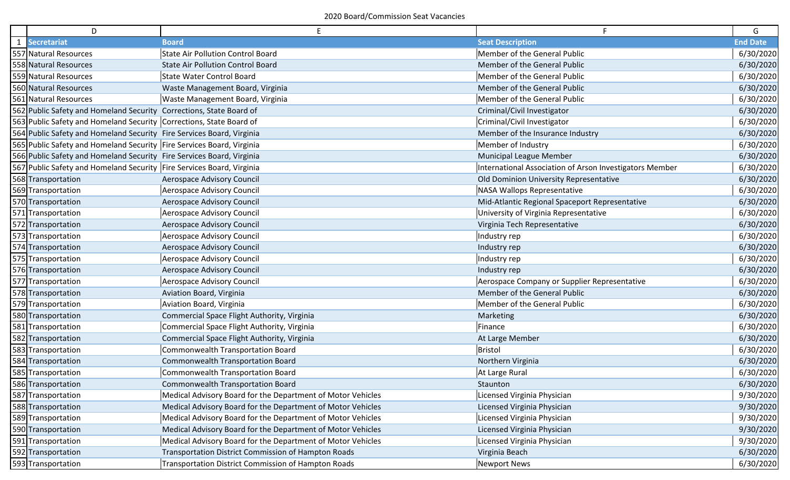| D                                                                     | Е                                                           |                                                         | G               |
|-----------------------------------------------------------------------|-------------------------------------------------------------|---------------------------------------------------------|-----------------|
| 1 Secretariat                                                         | <b>Board</b>                                                | <b>Seat Description</b>                                 | <b>End Date</b> |
| 557 Natural Resources                                                 | <b>State Air Pollution Control Board</b>                    | Member of the General Public                            | 6/30/2020       |
| 558 Natural Resources                                                 | <b>State Air Pollution Control Board</b>                    | Member of the General Public                            | 6/30/2020       |
| 559 Natural Resources                                                 | <b>State Water Control Board</b>                            | Member of the General Public                            | 6/30/2020       |
| 560 Natural Resources                                                 | Waste Management Board, Virginia                            | Member of the General Public                            | 6/30/2020       |
| 561 Natural Resources                                                 | Waste Management Board, Virginia                            | Member of the General Public                            | 6/30/2020       |
| 562 Public Safety and Homeland Security Corrections, State Board of   |                                                             | Criminal/Civil Investigator                             | 6/30/2020       |
| 563 Public Safety and Homeland Security Corrections, State Board of   |                                                             | Criminal/Civil Investigator                             | 6/30/2020       |
| 564 Public Safety and Homeland Security Fire Services Board, Virginia |                                                             | Member of the Insurance Industry                        | 6/30/2020       |
| 565 Public Safety and Homeland Security Fire Services Board, Virginia |                                                             | Member of Industry                                      | 6/30/2020       |
| 566 Public Safety and Homeland Security Fire Services Board, Virginia |                                                             | <b>Municipal League Member</b>                          | 6/30/2020       |
| 567 Public Safety and Homeland Security Fire Services Board, Virginia |                                                             | International Association of Arson Investigators Member | 6/30/2020       |
| 568 Transportation                                                    | <b>Aerospace Advisory Council</b>                           | Old Dominion University Representative                  | 6/30/2020       |
| 569 Transportation                                                    | Aerospace Advisory Council                                  | <b>NASA Wallops Representative</b>                      | 6/30/2020       |
| 570 Transportation                                                    | Aerospace Advisory Council                                  | Mid-Atlantic Regional Spaceport Representative          | 6/30/2020       |
| 571 Transportation                                                    | Aerospace Advisory Council                                  | University of Virginia Representative                   | 6/30/2020       |
| 572 Transportation                                                    | Aerospace Advisory Council                                  | Virginia Tech Representative                            | 6/30/2020       |
| 573 Transportation                                                    | Aerospace Advisory Council                                  | Industry rep                                            | 6/30/2020       |
| 574 Transportation                                                    | Aerospace Advisory Council                                  | Industry rep                                            | 6/30/2020       |
| 575 Transportation                                                    | Aerospace Advisory Council                                  | Industry rep                                            | 6/30/2020       |
| 576 Transportation                                                    | Aerospace Advisory Council                                  | Industry rep                                            | 6/30/2020       |
| 577 Transportation                                                    | Aerospace Advisory Council                                  | Aerospace Company or Supplier Representative            | 6/30/2020       |
| 578 Transportation                                                    | Aviation Board, Virginia                                    | Member of the General Public                            | 6/30/2020       |
| 579 Transportation                                                    | Aviation Board, Virginia                                    | Member of the General Public                            | 6/30/2020       |
| 580 Transportation                                                    | Commercial Space Flight Authority, Virginia                 | Marketing                                               | 6/30/2020       |
| 581 Transportation                                                    | Commercial Space Flight Authority, Virginia                 | Finance                                                 | 6/30/2020       |
| 582 Transportation                                                    | Commercial Space Flight Authority, Virginia                 | At Large Member                                         | 6/30/2020       |
| 583 Transportation                                                    | <b>Commonwealth Transportation Board</b>                    | Bristol                                                 | 6/30/2020       |
| 584 Transportation                                                    | <b>Commonwealth Transportation Board</b>                    | Northern Virginia                                       | 6/30/2020       |
| 585 Transportation                                                    | <b>Commonwealth Transportation Board</b>                    | At Large Rural                                          | 6/30/2020       |
| 586 Transportation                                                    | <b>Commonwealth Transportation Board</b>                    | Staunton                                                | 6/30/2020       |
| 587 Transportation                                                    | Medical Advisory Board for the Department of Motor Vehicles | Licensed Virginia Physician                             | 9/30/2020       |
| 588 Transportation                                                    | Medical Advisory Board for the Department of Motor Vehicles | Licensed Virginia Physician                             | 9/30/2020       |
| 589 Transportation                                                    | Medical Advisory Board for the Department of Motor Vehicles | Licensed Virginia Physician                             | 9/30/2020       |
| 590 Transportation                                                    | Medical Advisory Board for the Department of Motor Vehicles | Licensed Virginia Physician                             | 9/30/2020       |
| 591 Transportation                                                    | Medical Advisory Board for the Department of Motor Vehicles | Licensed Virginia Physician                             | 9/30/2020       |
| 592 Transportation                                                    | Transportation District Commission of Hampton Roads         | Virginia Beach                                          | 6/30/2020       |
| 593 Transportation                                                    | Transportation District Commission of Hampton Roads         | <b>Newport News</b>                                     | 6/30/2020       |